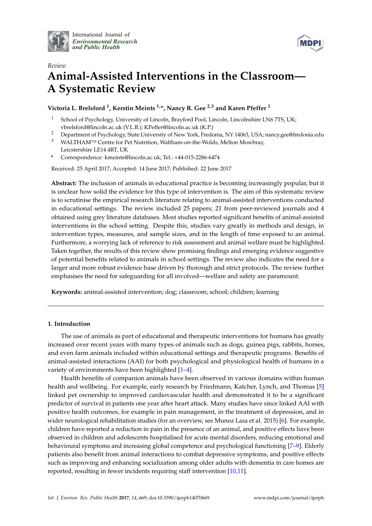

International Journal of *[Environmental Research](http://www.mdpi.com/journal/ijerph) and Public Health*



# *Review* **Animal-Assisted Interventions in the Classroom— A Systematic Review**

**Victoria L. Brelsford <sup>1</sup> , Kerstin Meints 1,\*, Nancy R. Gee 2,3 and Karen Pfeffer <sup>1</sup>**

- School of Psychology, University of Lincoln, Brayford Pool, Lincoln, Lincolnshire LN6 7TS, UK; vbrelsford@lincoln.ac.uk (V.L.B.); KPeffer@lincoln.ac.uk (K.P.)
- <sup>2</sup> Department of Psychology, State University of New York, Fredonia, NY 14063, USA; nancy.gee@fredonia.edu
- <sup>3</sup> WALTHAM™ Centre for Pet Nutrition, Waltham-on-the-Wolds, Melton Mowbray, Leicstershire LE14 4RT, UK
- **\*** Correspondence: kmeints@lincoln.ac.uk; Tel.: +44-015-2286-6474

Received: 25 April 2017; Accepted: 14 June 2017; Published: 22 June 2017

**Abstract:** The inclusion of animals in educational practice is becoming increasingly popular, but it is unclear how solid the evidence for this type of intervention is. The aim of this systematic review is to scrutinise the empirical research literature relating to animal-assisted interventions conducted in educational settings. The review included 25 papers; 21 from peer-reviewed journals and 4 obtained using grey literature databases. Most studies reported significant benefits of animal-assisted interventions in the school setting. Despite this, studies vary greatly in methods and design, in intervention types, measures, and sample sizes, and in the length of time exposed to an animal. Furthermore, a worrying lack of reference to risk assessment and animal welfare must be highlighted. Taken together, the results of this review show promising findings and emerging evidence suggestive of potential benefits related to animals in school settings. The review also indicates the need for a larger and more robust evidence base driven by thorough and strict protocols. The review further emphasises the need for safeguarding for all involved—welfare and safety are paramount.

**Keywords:** animal-assisted intervention; dog; classroom; school; children; learning

#### **1. Introduction**

The use of animals as part of educational and therapeutic interventions for humans has greatly increased over recent years with many types of animals such as dogs, guinea pigs, rabbits, horses, and even farm animals included within educational settings and therapeutic programs. Benefits of animal-assisted interactions (AAI) for both psychological and physiological health of humans in a variety of environments have been highlighted [\[1](#page-29-0)[–4\]](#page-29-1).

Health benefits of companion animals have been observed in various domains within human health and wellbeing. For example, early research by Friedmann, Katcher, Lynch, and Thomas [\[5\]](#page-29-2) linked pet ownership to improved cardiovascular health and demonstrated it to be a significant predictor of survival in patients one year after heart attack. Many studies have since linked AAI with positive health outcomes, for example in pain management, in the treatment of depression, and in wider neurological rehabilitation studies (for an overview, see Munoz Lasa et al. 2015) [\[6\]](#page-29-3). For example, children have reported a reduction in pain in the presence of an animal, and positive effects have been observed in children and adolescents hospitalised for acute mental disorders, reducing emotional and behavioural symptoms and increasing global competence and psychological functioning [\[7–](#page-29-4)[9\]](#page-29-5). Elderly patients also benefit from animal interactions to combat depressive symptoms, and positive effects such as improving and enhancing socialization among older adults with dementia in care homes are reported, resulting in fewer incidents requiring staff intervention [\[10,](#page-29-6)[11\]](#page-29-7).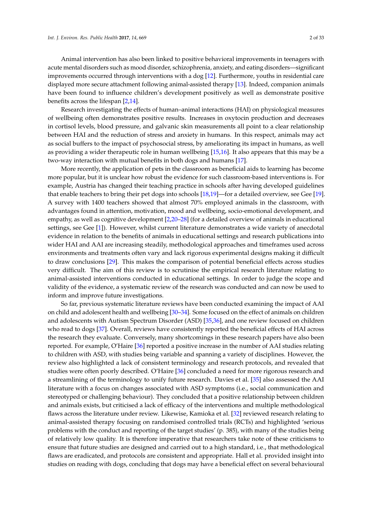Animal intervention has also been linked to positive behavioral improvements in teenagers with acute mental disorders such as mood disorder, schizophrenia, anxiety, and eating disorders—significant improvements occurred through interventions with a dog [\[12\]](#page-29-8). Furthermore, youths in residential care displayed more secure attachment following animal-assisted therapy [\[13\]](#page-29-9). Indeed, companion animals have been found to influence children's development positively as well as demonstrate positive benefits across the lifespan [\[2](#page-29-10)[,14\]](#page-29-11).

Research investigating the effects of human–animal interactions (HAI) on physiological measures of wellbeing often demonstrates positive results. Increases in oxytocin production and decreases in cortisol levels, blood pressure, and galvanic skin measurements all point to a clear relationship between HAI and the reduction of stress and anxiety in humans. In this respect, animals may act as social buffers to the impact of psychosocial stress, by ameliorating its impact in humans, as well as providing a wider therapeutic role in human wellbeing [\[15,](#page-29-12)[16\]](#page-29-13). It also appears that this may be a two-way interaction with mutual benefits in both dogs and humans [\[17\]](#page-30-0).

More recently, the application of pets in the classroom as beneficial aids to learning has become more popular, but it is unclear how robust the evidence for such classroom-based interventions is. For example, Austria has changed their teaching practice in schools after having developed guidelines that enable teachers to bring their pet dogs into schools [\[18,](#page-30-1)[19\]](#page-30-2)—for a detailed overview, see Gee [\[19\]](#page-30-2). A survey with 1400 teachers showed that almost 70% employed animals in the classroom, with advantages found in attention, motivation, mood and wellbeing, socio-emotional development, and empathy, as well as cognitive development [\[2](#page-29-10)[,20](#page-30-3)[–28\]](#page-30-4) (for a detailed overview of animals in educational settings, see Gee [\[1\]](#page-29-0)). However, whilst current literature demonstrates a wide variety of anecdotal evidence in relation to the benefits of animals in educational settings and research publications into wider HAI and AAI are increasing steadily, methodological approaches and timeframes used across environments and treatments often vary and lack rigorous experimental designs making it difficult to draw conclusions [\[29\]](#page-30-5). This makes the comparison of potential beneficial effects across studies very difficult. The aim of this review is to scrutinise the empirical research literature relating to animal-assisted interventions conducted in educational settings. In order to judge the scope and validity of the evidence, a systematic review of the research was conducted and can now be used to inform and improve future investigations.

So far, previous systematic literature reviews have been conducted examining the impact of AAI on child and adolescent health and wellbeing [\[30–](#page-30-6)[34\]](#page-30-7). Some focused on the effect of animals on children and adolescents with Autism Spectrum Disorder (ASD) [\[35,](#page-30-8)[36\]](#page-30-9), and one review focused on children who read to dogs [\[37\]](#page-30-10). Overall, reviews have consistently reported the beneficial effects of HAI across the research they evaluate. Conversely, many shortcomings in these research papers have also been reported. For example, O'Haire [\[36\]](#page-30-9) reported a positive increase in the number of AAI studies relating to children with ASD, with studies being variable and spanning a variety of disciplines. However, the review also highlighted a lack of consistent terminology and research protocols, and revealed that studies were often poorly described. O'Haire [\[36\]](#page-30-9) concluded a need for more rigorous research and a streamlining of the terminology to unify future research. Davies et al. [\[35\]](#page-30-8) also assessed the AAI literature with a focus on changes associated with ASD symptoms (i.e., social communication and stereotyped or challenging behaviour). They concluded that a positive relationship between children and animals exists, but criticised a lack of efficacy of the interventions and multiple methodological flaws across the literature under review. Likewise, Kamioka et al. [\[32\]](#page-30-11) reviewed research relating to animal-assisted therapy focusing on randomised controlled trials (RCTs) and highlighted 'serious problems with the conduct and reporting of the target studies' (p. 385), with many of the studies being of relatively low quality. It is therefore imperative that researchers take note of these criticisms to ensure that future studies are designed and carried out to a high standard, i.e., that methodological flaws are eradicated, and protocols are consistent and appropriate. Hall et al. provided insight into studies on reading with dogs, concluding that dogs may have a beneficial effect on several behavioural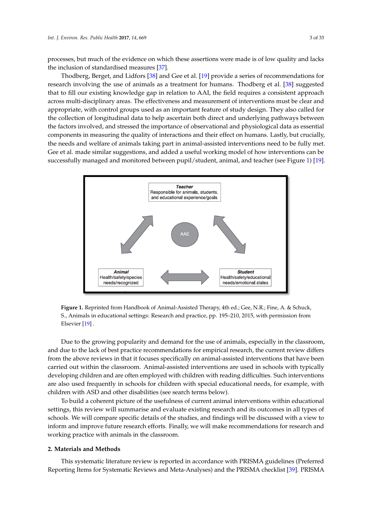processes, but much of the evidence on which these assertions were made is of low quality and lacks *processes*, the inclusion of standardised measures [\[37\]](#page-30-10).

Thodberg, Berget, and Lidfors [\[38\]](#page-30-12) and Gee et al. [\[19\]](#page-30-2) provide a series of recommendations for Thodberg, Berget, and Lidfors [38] and Gee et al. [19] provide a series of recommendations for research involving the use of animals as a treatment for humans. Thodberg et al. [\[38\]](#page-30-12) suggested that to fill our existing knowledge gap in relation to AAI, the field requires a consistent approach across multi-disciplinary areas. The effectiveness and measurement of interventions must be clear and appropriate, with control groups used as an important feature of study design. They also called for appropriate, with control groups used as an important feature of study design. They also called for the collection of longitudinal data to help ascertain both direct and underlying pathways between the collection of longitudinal data to help ascertain both direct and underlying pathways between the factors involved, and stressed the importance of observational and physiological data as essential the factors involved, and stressed the importance of observational and physiological data as essential components in measuring the quality of interactions and their effect on humans. Lastly, but crucially, components in measuring the quality of interactions and their effect on humans. Lastly, but crucially, the needs and welfare of animals taking part in animal-assisted interventions need to be fully met. the needs and welfare of animals taking part in animal-assisted interventions need to be fully met. Gee et al. made similar suggestions, and added a useful working model of how interventions can be Gee et al. made similar suggestions, and added a useful working model of how interventions can be successfully managed and monitored between pupil/student, animal, and teacher (see Figure [1\)](#page-2-0) [\[19\]](#page-30-2). successfully managed and monitored between pupil/student, animal, and teacher (see Figure 1) [19].

<span id="page-2-0"></span>

Figure 1. Reprinted from Handbook of Animal-Assisted Therapy, 4th ed.; Gee, N.R.; Fine, A. & Schuck, S., Animals in educational settings: Research and practice, pp. 195–210, 2015, with permission from Elsevier [\[19\]](#page-30-2) .

Due to the growing popularity and demand for the use of animals, especially in the classroom, and due to the lack of best practice recommendations for empirical research, the current review differs from the above reviews in that it focuses specifically on animal-assisted interventions that have been carried out within the classroom. Animal-assisted interventions are used in schools with typically developing children and are often employed with children with reading difficulties. Such interventions are also used frequently in schools for children with special educational needs, for example, with children with ASD and other disabilities (see search terms below).

To build a coherent picture of the usefulness of current animal interventions within educational settings, this review will summarise and evaluate existing research and its outcomes in all types of schools. We will compare specific details of the studies, and findings will be discussed with a view to inform and improve future research efforts. Finally, we will make recommendations for research and **2. Materials and Methods**  working practice with animals in the classroom.

#### terials and Methods is reported in accordance with PRISMA guidelines (Preferred in accordance with P **2. Materials and Methods**

This systematic literature review is reported in accordance with PRISMA guidelines (Preferred Reporting Items for Systematic Revie[ws](#page-30-13) and Meta-Analyses) and the PRISMA checklist [39]. PRISMA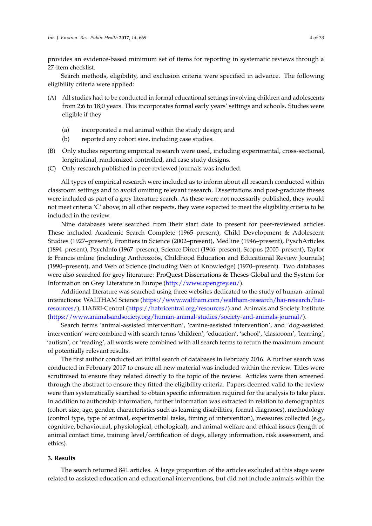provides an evidence-based minimum set of items for reporting in systematic reviews through a 27-item checklist.

Search methods, eligibility, and exclusion criteria were specified in advance. The following eligibility criteria were applied:

- (A) All studies had to be conducted in formal educational settings involving children and adolescents from 2;6 to 18;0 years. This incorporates formal early years' settings and schools. Studies were eligible if they
	- (a) incorporated a real animal within the study design; and
	- (b) reported any cohort size, including case studies.
- (B) Only studies reporting empirical research were used, including experimental, cross-sectional, longitudinal, randomized controlled, and case study designs.
- (C) Only research published in peer-reviewed journals was included.

All types of empirical research were included as to inform about all research conducted within classroom settings and to avoid omitting relevant research. Dissertations and post-graduate theses were included as part of a grey literature search. As these were not necessarily published, they would not meet criteria 'C' above; in all other respects, they were expected to meet the eligibility criteria to be included in the review.

Nine databases were searched from their start date to present for peer-reviewed articles. These included Academic Search Complete (1965–present), Child Development & Adolescent Studies (1927–present), Frontiers in Science (2002–present), Medline (1946–present), PyschArticles (1894–present), PsychInfo (1967–present), Science Direct (1946–present), Scopus (2005–present), Taylor & Francis online (including Anthrozoös, Childhood Education and Educational Review Journals) (1990–present), and Web of Science (including Web of Knowledge) (1970–present). Two databases were also searched for grey literature: ProQuest Dissertations & Theses Global and the System for Information on Grey Literature in Europe [\(http://www.opengrey.eu/\)](http://www.opengrey.eu/).

Additional literature was searched using three websites dedicated to the study of human–animal interactions: WALTHAM Science [\(https://www.waltham.com/waltham-research/hai-research/hai](https://www.waltham.com/waltham-research/ hai-research/hai-resources/)[resources/\)](https://www.waltham.com/waltham-research/ hai-research/hai-resources/), HABRI-Central [\(https://habricentral.org/resources/\)](https://habricentral.org/resources/) and Animals and Society Institute [\(https://www.animalsandsociety.org/human-animal-studies/society-and-animals-journal/\)](https://www.animalsandsociety.org/human-animal-studies/society-and-animals-journal/).

Search terms 'animal-assisted intervention', 'canine-assisted intervention', and 'dog-assisted intervention' were combined with search terms 'children', 'education', 'school', 'classroom', 'learning', 'autism', or 'reading', all words were combined with all search terms to return the maximum amount of potentially relevant results.

The first author conducted an initial search of databases in February 2016. A further search was conducted in February 2017 to ensure all new material was included within the review. Titles were scrutinised to ensure they related directly to the topic of the review. Articles were then screened through the abstract to ensure they fitted the eligibility criteria. Papers deemed valid to the review were then systematically searched to obtain specific information required for the analysis to take place. In addition to authorship information, further information was extracted in relation to demographics (cohort size, age, gender, characteristics such as learning disabilities, formal diagnoses), methodology (control type, type of animal, experimental tasks, timing of intervention), measures collected (e.g., cognitive, behavioural, physiological, ethological), and animal welfare and ethical issues (length of animal contact time, training level/certification of dogs, allergy information, risk assessment, and ethics).

#### **3. Results**

The search returned 841 articles. A large proportion of the articles excluded at this stage were related to assisted education and educational interventions, but did not include animals within the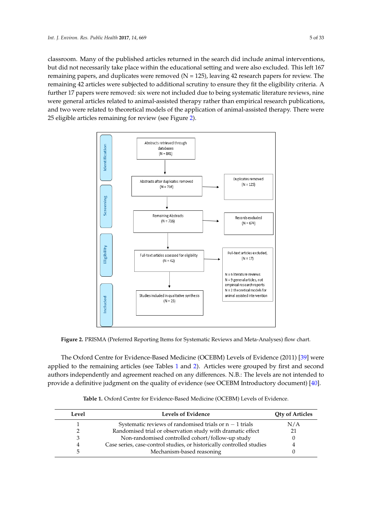classroom. Many of the published articles returned in the search did include animal interventions, but did not necessarily take place within the educational setting and were also excluded. This left 167 remaining papers, and duplicates were removed  $(N = 125)$ , leaving 42 research papers for review. The remaining 42 articles were subjected to additional scrutiny to ensure they fit the eligibility criteria. A further 17 papers were removed: six were not included due to being systematic literature reviews, nine were general articles related to animal-assisted therapy rather than empirical research publications, *Int. J. Environ. Res. Public Health* **2017**, *14*, 669 5 of 33 and two were related to theoretical models of the application of animal-assisted therapy. There were 25 eligible articles remaining for review (see Figure [2\)](#page-4-0).

<span id="page-4-0"></span>

**Figure 2.** PRISMA (Preferred Reporting Items for Systematic Reviews and Meta-Analyses) flow chart.

applied to the remaining articles (see Tables 1 and 2). Articles were grouped by first and second by first and second  $\alpha$ The Oxford Centre for Evidence-Based Medicine (OCEBM) Levels of Evidence (2011) [<mark>39]</mark> were applied to the remaining articles (see Tables 1 and [2\)](#page-13-0). Articles were grouped by first and second provide a definitive judgment on the quality of evidence (see OCEBM Introductory document) [\[40\]](#page-31-0). authors independently and agreement reached on any differences. N.B.: The levels are not intended to

1 Oystematic reviews for Friday or Road Madisins (OCEDM) I angle of E **Table 1.** Oxford Centre for Evidence-Based Medicine (OCEBM) Levels of Evidence.

<span id="page-4-1"></span>

| Level | <b>Levels of Evidence</b>                                             | <b>Qty of Articles</b> |
|-------|-----------------------------------------------------------------------|------------------------|
|       | Systematic reviews of randomised trials or $n - 1$ trials             | N/A                    |
|       | Randomised trial or observation study with dramatic effect            | 21                     |
| 3     | Non-randomised controlled cohort/follow-up study                      |                        |
| 4     | Case series, case-control studies, or historically controlled studies |                        |
| 5     | Mechanism-based reasoning                                             |                        |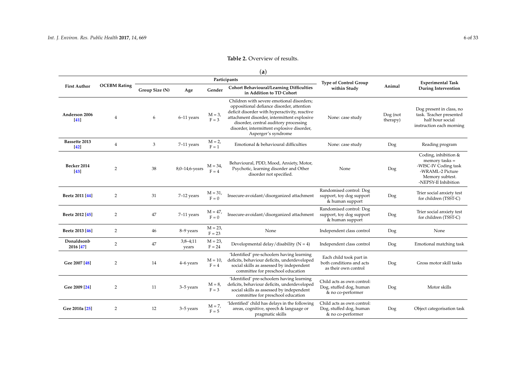#### **Table 2.** Overview of results.

### (**a**)

|                                |                     |                |                     |                        | Participants                                                                                                                                                                                                                                                                                         | <b>Type of Control Group</b>                                                |                      | <b>Experimental Task</b>                                                                                                      |
|--------------------------------|---------------------|----------------|---------------------|------------------------|------------------------------------------------------------------------------------------------------------------------------------------------------------------------------------------------------------------------------------------------------------------------------------------------------|-----------------------------------------------------------------------------|----------------------|-------------------------------------------------------------------------------------------------------------------------------|
| <b>First Author</b>            | <b>OCEBM Rating</b> | Group Size (N) | Age                 | Gender                 | <b>Cohort Behavioural/Learning Difficulties</b><br>in Addition to TD Cohort                                                                                                                                                                                                                          | within Study                                                                | Animal               | <b>During Intervention</b>                                                                                                    |
| Anderson 2006<br>$[41]$        | $\overline{4}$      | 6              | $6-11$ years        | $M = 3,$<br>$F = 3$    | Children with severe emotional disorders:<br>oppositional defiance disorder, attention<br>deficit disorder with hyperactivity, reactive<br>attachment disorder, intermittent explosive<br>disorder, central auditory processing<br>disorder, intermittent explosive disorder,<br>Asperger's syndrome | None: case study                                                            | Dog (not<br>therapy) | Dog present in class, no<br>task. Teacher presented<br>half hour social<br>instruction each morning                           |
| <b>Bassette 2013</b><br>$[42]$ | $\overline{4}$      | 3              | 7-11 years          | $M = 2$ ,<br>$F = 1$   | Emotional & behavioural difficulties                                                                                                                                                                                                                                                                 | None: case study                                                            | Dog                  | Reading program                                                                                                               |
| Becker 2014<br>$[43]$          | $\overline{2}$      | 38             | 8;0-14;6-years      | $M = 34$ ,<br>$F = 4$  | Behavioural, PDD, Mood, Anxiety, Motor,<br>Psychotic, learning disorder and Other<br>disorder not specified.                                                                                                                                                                                         | None                                                                        | Dog                  | Coding, inhibition &<br>memory tasks =<br>-WISC-IV Coding task<br>-WRAML-2 Picture<br>Memory subtest.<br>-NEPSY-II Inhibition |
| Beetz 2011 [44]                | $\overline{2}$      | 31             | 7-12 years          | $M = 31,$<br>$F = 0$   | Insecure-avoidant/disorganized attachment                                                                                                                                                                                                                                                            | Randomised control: Dog<br>support, toy dog support<br>& human support      | Dog                  | Trier social anxiety test<br>for children (TSST-C)                                                                            |
| Beetz 2012 [45]                | $\overline{2}$      | 47             | 7-11 years          | $M = 47$ ,<br>$F = 0$  | Insecure-avoidant/disorganized attachment                                                                                                                                                                                                                                                            | Randomised control: Dog<br>support, toy dog support<br>& human support      | Dog                  | Trier social anxiety test<br>for children (TSST-C)                                                                            |
| Beetz 2013 [46]                | $\overline{2}$      | 46             | 8-9 years           | $M = 23$ ,<br>$F = 23$ | None                                                                                                                                                                                                                                                                                                 | Independent class control                                                   | Dog                  | None                                                                                                                          |
| Donaldsonb<br>2016 [47]        | $\overline{2}$      | 47             | $3;8-4;11$<br>years | $M = 23$ ,<br>$F = 24$ | Developmental delay/disability ( $N = 4$ )                                                                                                                                                                                                                                                           | Independent class control                                                   | Dog                  | Emotional matching task                                                                                                       |
| Gee 2007 [48]                  | $\overline{2}$      | 14             | 4-6 years           | $M = 10$ ,<br>$F = 4$  | 'Identified' pre-schoolers having learning<br>deficits, behaviour deficits, underdeveloped<br>social skills as assessed by independent<br>committee for preschool education                                                                                                                          | Each child took part in<br>both conditions and acts<br>as their own control | Dog                  | Gross motor skill tasks                                                                                                       |
| Gee 2009 [24]                  | $\overline{2}$      | 11             | 3-5 years           | $M = 8$ ,<br>$F = 3$   | 'Identified' pre-schoolers having learning<br>deficits, behaviour deficits, underdeveloped<br>social skills as assessed by independent<br>committee for preschool education                                                                                                                          | Child acts as own control:<br>Dog, stuffed dog, human<br>& no co-performer  | Dog                  | Motor skills                                                                                                                  |
| Gee 2010a [25]                 | $\overline{2}$      | 12             | 3-5 years           | $M = 7$ ,<br>$F = 5$   | 'Identified' child has delays in the following<br>areas, cognitive, speech & language or<br>pragmatic skills                                                                                                                                                                                         | Child acts as own control:<br>Dog, stuffed dog, human<br>& no co-performer  | Dog                  | Object categorisation task                                                                                                    |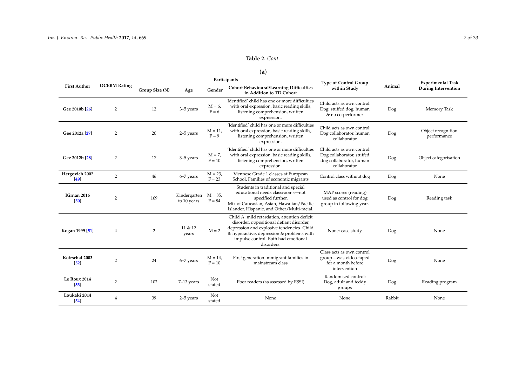## (**a**)

|                               |                     |                |                             |                        | Participants                                                                                                                                                                                                                              | <b>Type of Control Group</b>                                                                       |        | <b>Experimental Task</b>          |
|-------------------------------|---------------------|----------------|-----------------------------|------------------------|-------------------------------------------------------------------------------------------------------------------------------------------------------------------------------------------------------------------------------------------|----------------------------------------------------------------------------------------------------|--------|-----------------------------------|
| <b>First Author</b>           | <b>OCEBM Rating</b> | Group Size (N) | Age                         | Gender                 | <b>Cohort Behavioural/Learning Difficulties</b><br>in Addition to TD Cohort                                                                                                                                                               | within Study                                                                                       | Animal | <b>During Intervention</b>        |
| Gee 2010b [26]                | 2                   | 12             | 3-5 years                   | $M = 6$ ,<br>$F = 6$   | Identified' child has one or more difficulties<br>with oral expression, basic reading skills,<br>listening comprehension, written<br>expression.                                                                                          | Child acts as own control:<br>Dog, stuffed dog, human<br>& no co-performer                         | Dog    | Memory Task                       |
| Gee 2012a [27]                | 2                   | 20             | 2-5 years                   | $M = 11$ ,<br>$F = 9$  | 'Identified' child has one or more difficulties<br>with oral expression, basic reading skills,<br>listening comprehension, written<br>expression.                                                                                         | Child acts as own control:<br>Dog collaborator, human<br>collaborator                              | Dog    | Object recognition<br>performance |
| Gee 2012b [28]                | 2                   | 17             | 3-5 years                   | $M = 7$ ,<br>$F = 10$  | 'Identified' child has one or more difficulties<br>with oral expression, basic reading skills,<br>listening comprehension, written<br>expression.                                                                                         | Child acts as own control:<br>Dog collaborator, stuffed<br>dog collaborator, human<br>collaborator | Dog    | Object categorisation             |
| Hergovich 2002<br>$[49]$      | $\overline{2}$      | 46             | 6-7 years                   | $M = 23$ ,<br>$F = 23$ | Viennese Grade 1 classes at European<br>School, Families of economic migrants                                                                                                                                                             | Control class without dog                                                                          | Dog    | None                              |
| Kirnan 2016<br>$[50]$         | $\overline{2}$      | 169            | Kindergarten<br>to 10 years | $M = 85$ ,<br>$F = 84$ | Students in traditional and special<br>educational needs classrooms-not<br>specified further.<br>Mix of Caucasian, Asian, Hawaiian/Pacific<br>Islander, Hispanic, and Other/Multi-racial.                                                 | MAP scores (reading)<br>used as control for dog<br>group in following year.                        | Dog    | Reading task                      |
| Kogan 1999 [51]               | $\overline{4}$      | 2              | 11 & 12<br>years            | $M = 2$                | Child A: mild retardation, attention deficit<br>disorder, oppositional defiant disorder,<br>depression and explosive tendencies. Child<br>B: hyperactive, depression & problems with<br>impulse control. Both had emotional<br>disorders. | None: case study                                                                                   | Dog    | None                              |
| Kotrschal 2003<br>$\sqrt{52}$ | $\overline{2}$      | 24             | 6-7 years                   | $M = 14$ ,<br>$F = 10$ | First generation immigrant families in<br>mainstream class                                                                                                                                                                                | Class acts as own control<br>group-was video-taped<br>for a month before<br>intervention           | Dog    | None                              |
| Le Roux 2014<br>$[53]$        | $\overline{2}$      | 102            | 7-13 years                  | Not<br>stated          | Poor readers (as assessed by ESSI)                                                                                                                                                                                                        | Randomised control:<br>Dog, adult and teddy<br>groups                                              | Dog    | Reading program                   |
| Loukaki 2014<br>$[54]$        | $\overline{4}$      | 39             | 2-5 years                   | Not<br>stated          | None                                                                                                                                                                                                                                      | None                                                                                               | Rabbit | None                              |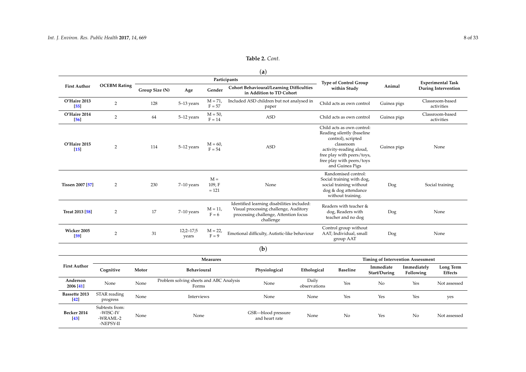|                            |                                                     |                |                                                  |                            |              | (a)                                                                                                                                       |                       |                                                                                                                                                                                                      |                                                                   |                                          |                          |                               |
|----------------------------|-----------------------------------------------------|----------------|--------------------------------------------------|----------------------------|--------------|-------------------------------------------------------------------------------------------------------------------------------------------|-----------------------|------------------------------------------------------------------------------------------------------------------------------------------------------------------------------------------------------|-------------------------------------------------------------------|------------------------------------------|--------------------------|-------------------------------|
|                            |                                                     |                |                                                  |                            | Participants |                                                                                                                                           |                       |                                                                                                                                                                                                      | <b>Type of Control Group</b>                                      |                                          |                          | <b>Experimental Task</b>      |
| <b>First Author</b>        | <b>OCEBM Rating</b>                                 | Group Size (N) | Age                                              | Gender                     |              | <b>Cohort Behavioural/Learning Difficulties</b><br>in Addition to TD Cohort                                                               |                       |                                                                                                                                                                                                      | within Study                                                      | Animal                                   |                          | <b>During Intervention</b>    |
| O'Haire 2013<br>$[55]$     | $\overline{2}$                                      | 128            | 5-13 years                                       | $M = 71$ ,<br>$F = 57$     |              | Included ASD children but not analysed in<br>paper                                                                                        |                       | Child acts as own control                                                                                                                                                                            |                                                                   | Guinea pigs                              |                          | Classroom-based<br>activities |
| O'Haire 2014<br>[56]       | $\overline{2}$                                      | 64             | 5-12 years                                       | $M = 50,$<br>$F = 14$      |              | <b>ASD</b>                                                                                                                                |                       | Child acts as own control                                                                                                                                                                            |                                                                   | Guinea pigs                              |                          | Classroom-based<br>activities |
| O'Haire 2015<br>$[15]$     | 2                                                   | 114            | 5-12 years                                       | $M = 60,$<br>$F = 54$      | <b>ASD</b>   |                                                                                                                                           |                       | Child acts as own control:<br>Reading silently (baseline<br>control), scripted<br>classroom<br>activity-reading aloud,<br>free play with peers/toys,<br>free play with peers/toys<br>and Guinea Pigs | Guinea pigs                                                       |                                          | None                     |                               |
| Tissen 2007 [57]           | 2                                                   | 230            | 7-10 years                                       | $M =$<br>109, F<br>$= 121$ |              | None                                                                                                                                      |                       | Randomised control:<br>Social training with dog,<br>social training without<br>dog & dog attendance<br>without training.                                                                             |                                                                   | Dog                                      |                          | Social training               |
| Treat 2013 [58]            | 2                                                   | 17             | $7-10$ years                                     | $M = 11$ ,<br>$F = 6$      |              | Identified learning disabilities included:<br>Visual processing challenge, Auditory<br>processing challenge, Attention focus<br>challenge |                       |                                                                                                                                                                                                      | Readers with teacher &<br>dog, Readers with<br>teacher and no dog | Dog                                      |                          | None                          |
| Wicker 2005<br>[59]        | $\overline{2}$                                      | 31             | $12;2 - 17;5$<br>vears                           | $M = 22$<br>$F = 9$        |              | Emotional difficulty, Autistic-like behaviour                                                                                             |                       |                                                                                                                                                                                                      | Control group without<br>AAT; Individual, small<br>group AAT      | Dog                                      |                          | None                          |
|                            |                                                     |                |                                                  |                            |              | (b)                                                                                                                                       |                       |                                                                                                                                                                                                      |                                                                   |                                          |                          |                               |
|                            |                                                     |                |                                                  | <b>Measures</b>            |              |                                                                                                                                           |                       |                                                                                                                                                                                                      |                                                                   | <b>Timing of Intervention Assessment</b> |                          |                               |
| <b>First Author</b>        | Cognitive                                           | Motor          | Behavioural                                      |                            |              | Physiological                                                                                                                             | Ethological           |                                                                                                                                                                                                      | <b>Baseline</b>                                                   | Immediate<br>Start/During                | Immediately<br>Following | Long Term<br>Effects          |
| Anderson<br>2006 [41]      | None                                                | None           | Problem solving sheets and ABC Analysis<br>Forms |                            |              | None                                                                                                                                      | Daily<br>observations |                                                                                                                                                                                                      | Yes                                                               | $\overline{N}$                           | Yes                      | Not assessed                  |
| Bassette 2013<br>$[42]$    | STAR reading<br>progress                            | None           | Interviews                                       |                            |              | None                                                                                                                                      | None                  |                                                                                                                                                                                                      | Yes                                                               | Yes                                      | Yes                      | yes                           |
| Becker 2014<br>$\sqrt{43}$ | Subtests from:<br>-WISC-IV<br>-WRAML-2<br>-NEPSY-II | None           | None                                             |                            |              | GSR-blood pressure<br>and heart rate                                                                                                      | None                  |                                                                                                                                                                                                      | No                                                                | Yes                                      | No                       | Not assessed                  |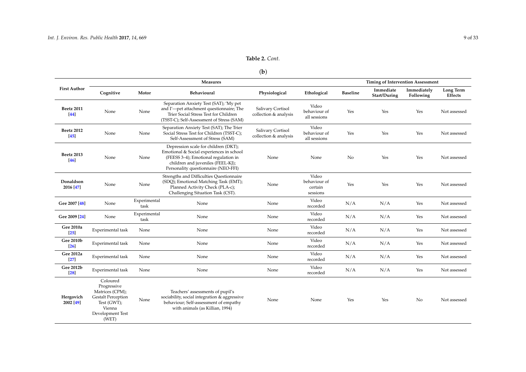### (**b**)

|                                |                                                                                                                               |                      | <b>Measures</b>                                                                                                                                                                                      |                                            |                                              | <b>Timing of Intervention Assessment</b> |                           |                          |                      |
|--------------------------------|-------------------------------------------------------------------------------------------------------------------------------|----------------------|------------------------------------------------------------------------------------------------------------------------------------------------------------------------------------------------------|--------------------------------------------|----------------------------------------------|------------------------------------------|---------------------------|--------------------------|----------------------|
| <b>First Author</b>            | Cognitive                                                                                                                     | Motor                | Behavioural                                                                                                                                                                                          | Physiological                              | Ethological                                  | <b>Baseline</b>                          | Immediate<br>Start/During | Immediately<br>Following | Long Term<br>Effects |
| <b>Beetz 2011</b><br>44        | None                                                                                                                          | None                 | Separation Anxiety Test (SAT); 'My pet<br>and I'-pet attachment questionnaire; The<br>Trier Social Stress Test for Children<br>(TSST-C); Self-Assessment of Stress (SAM)                             | Salivary Cortisol<br>collection & analysis | Video<br>behaviour of<br>all sessions        | Yes                                      | Yes                       | Yes                      | Not assessed         |
| <b>Beetz 2012</b><br>$[45]$    | None                                                                                                                          | None                 | Separation Anxiety Test (SAT); The Trier<br>Social Stress Test for Children (TSST-C);<br>Self-Assessment of Stress (SAM)                                                                             | Salivary Cortisol<br>collection & analysis | Video<br>behaviour of<br>all sessions        | Yes                                      | Yes                       | Yes                      | Not assessed         |
| <b>Beetz 2013</b><br>$[46]$    | None                                                                                                                          | None                 | Depression scale for children (DKT);<br>Emotional & Social experiences in school<br>(FEESS 3-4); Emotional regulation in<br>children and juveniles (FEEL-KJ);<br>Personality questionnaire (NEO-FFI) | None                                       | None                                         | No                                       | Yes                       | Yes                      | Not assessed         |
| Donaldson<br>2016 [47]         | None                                                                                                                          | None                 | Strengths and Difficulties Questionnaire<br>(SDQ); Emotional Matching Task (EMT);<br>Planned Activity Check (PLA-c);<br>Challenging Situation Task (CST).                                            | None                                       | Video<br>behaviour of<br>certain<br>sessions | Yes                                      | Yes                       | Yes                      | Not assessed         |
| Gee 2007 [48]                  | None                                                                                                                          | Experimental<br>task | None                                                                                                                                                                                                 | None                                       | Video<br>recorded                            | N/A                                      | N/A                       | Yes                      | Not assessed         |
| Gee 2009 [24]                  | None                                                                                                                          | Experimental<br>task | None                                                                                                                                                                                                 | None                                       | Video<br>recorded                            | N/A                                      | N/A                       | Yes                      | Not assessed         |
| Gee 2010a<br>$\sqrt{25}$       | Experimental task                                                                                                             | None                 | None                                                                                                                                                                                                 | None                                       | Video<br>recorded                            | N/A                                      | N/A                       | Yes                      | Not assessed         |
| Gee 2010b<br>$[26]$            | Experimental task                                                                                                             | None                 | None                                                                                                                                                                                                 | None                                       | Video<br>recorded                            | N/A                                      | N/A                       | Yes                      | Not assessed         |
| Gee 2012a<br>$[27]$            | Experimental task                                                                                                             | None                 | None                                                                                                                                                                                                 | None                                       | Video<br>recorded                            | N/A                                      | N/A                       | Yes                      | Not assessed         |
| Gee 2012b<br>$\left[28\right]$ | Experimental task                                                                                                             | None                 | None                                                                                                                                                                                                 | None                                       | Video<br>recorded                            | N/A                                      | N/A                       | Yes                      | Not assessed         |
| Hergovich<br>2002 [49]         | Coloured<br>Progressive<br>Matrices (CPM);<br><b>Gestalt Perception</b><br>Test (GWT);<br>Vienna<br>Development Test<br>(WET) | None                 | Teachers' assessments of pupil's<br>sociability, social integration & aggressive<br>behaviour; Self-assessment of empathy<br>with animals (as Killian, 1994)                                         | None                                       | None                                         | Yes                                      | Yes                       | No                       | Not assessed         |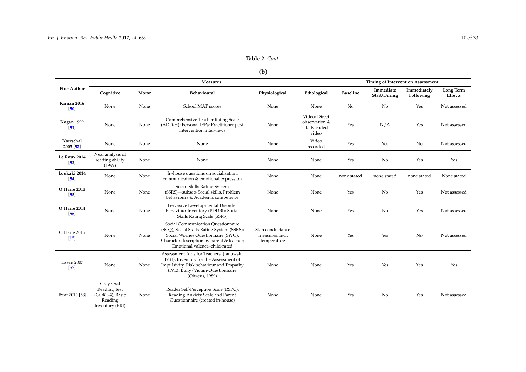### (**b**)

|                           |                                                                            |       | <b>Measures</b>                                                                                                                                                                                        |                                                    |                                                        | <b>Timing of Intervention Assessment</b> |                                  |                          |                      |
|---------------------------|----------------------------------------------------------------------------|-------|--------------------------------------------------------------------------------------------------------------------------------------------------------------------------------------------------------|----------------------------------------------------|--------------------------------------------------------|------------------------------------------|----------------------------------|--------------------------|----------------------|
| <b>First Author</b>       | Cognitive                                                                  | Motor | Behavioural                                                                                                                                                                                            | Physiological<br>Ethological                       |                                                        | <b>Baseline</b>                          | Immediate<br><b>Start/During</b> | Immediately<br>Following | Long Term<br>Effects |
| Kirnan 2016<br>[50]       | None                                                                       | None  | School MAP scores                                                                                                                                                                                      | None                                               | None                                                   | No                                       | No                               | Yes                      | Not assessed         |
| Kogan 1999<br>$\sqrt{51}$ | None                                                                       | None  | Comprehensive Teacher Rating Scale<br>(ADD-H); Personal IEPs; Practitioner post<br>intervention interviews                                                                                             | None                                               | Video: Direct<br>observation &<br>daily coded<br>video | Yes                                      | N/A                              | Yes                      | Not assessed         |
| Kotrschal<br>2003 [52]    | None                                                                       | None  | None                                                                                                                                                                                                   | None                                               | Video<br>recorded                                      | Yes                                      | Yes                              | No                       | Not assessed         |
| Le Roux 2014<br>$[53]$    | Neal analysis of<br>reading ability<br>(1999)                              | None  | None                                                                                                                                                                                                   | None                                               | None                                                   | Yes                                      | No                               | Yes                      | Yes                  |
| Loukaki 2014<br>$[54]$    | None                                                                       | None  | In-house questions on socialisation,<br>communication & emotional expression                                                                                                                           | None                                               | None                                                   | none stated                              | none stated                      | none stated              | None stated          |
| O'Haire 2013<br>$[55]$    | None                                                                       | None  | Social Skills Rating System<br>(SSRS)-subsets Social skills, Problem<br>behaviours & Academic competence                                                                                               | None                                               | None                                                   | Yes                                      | No                               | Yes                      | Not assessed         |
| O'Haire 2014<br>$[56]$    | None                                                                       | None  | Pervasive Developmental Disorder<br>Behaviour Inventory (PDDBI); Social<br>Skills Rating Scale (SSRS)                                                                                                  | None                                               | None                                                   | Yes                                      | No                               | Yes                      | Not assessed         |
| O'Haire 2015<br>$[15]$    | None                                                                       | None  | Social Communication Questionnaire<br>(SCQ); Social Skills Rating System (SSRS);<br>Social Worries Questionnaire (SWQ);<br>Character description by parent & teacher;<br>Emotional valence-child-rated | Skin conductance<br>measures, incl.<br>temperature | None                                                   | Yes                                      | Yes                              | No                       | Not assessed         |
| Tissen 2007<br>$[57]$     | None                                                                       | None  | Assessment Aids for Teachers, (Janowski,<br>1981); Inventory for the Assessment of<br>Impulsivity, Risk behaviour and Empathy<br>(IVE); Bully/Victim-Questionnaire<br>(Olweus, 1989)                   | None                                               | None                                                   | Yes                                      | Yes                              | Yes                      | Yes                  |
| Treat 2013 [58]           | Gray Oral<br>Reading Test<br>(GORT-4); Basic<br>Reading<br>Inventory (BRI) | None  | Reader Self-Perception Scale (RSPC);<br>Reading Anxiety Scale and Parent<br>Questionnaire (created in-house)                                                                                           | None                                               | None                                                   | Yes                                      | No                               | Yes                      | Not assessed         |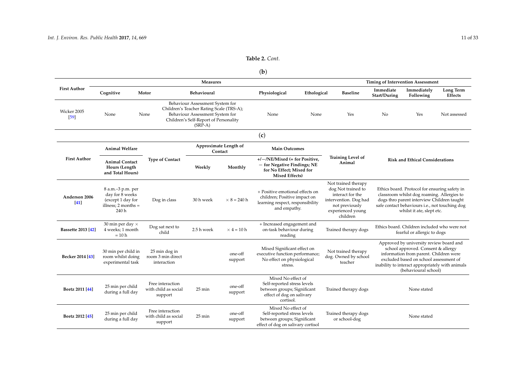### (**b**)

|                                      |                                                                                             |                                                     | <b>Measures</b>                                                                                                                                                      |                    | <b>Timing of Intervention Assessment</b>                                                                                   |                              |                                                                                                                                           |                                                                                                                                                                                                                                               |                                                                             |                      |
|--------------------------------------|---------------------------------------------------------------------------------------------|-----------------------------------------------------|----------------------------------------------------------------------------------------------------------------------------------------------------------------------|--------------------|----------------------------------------------------------------------------------------------------------------------------|------------------------------|-------------------------------------------------------------------------------------------------------------------------------------------|-----------------------------------------------------------------------------------------------------------------------------------------------------------------------------------------------------------------------------------------------|-----------------------------------------------------------------------------|----------------------|
| <b>First Author</b>                  | Cognitive                                                                                   | Motor                                               | Behavioural                                                                                                                                                          |                    |                                                                                                                            | Physiological<br>Ethological |                                                                                                                                           | Immediate<br>Start/During                                                                                                                                                                                                                     | Immediately<br>Following                                                    | Long Term<br>Effects |
| Wicker 2005<br>[59]                  | None<br>None                                                                                |                                                     | Behaviour Assessment System for<br>Children's Teacher Rating Scale (TRS-A);<br>Behaviour Assessment System for<br>Children's Self-Report of Personality<br>$(SRP-A)$ |                    | None                                                                                                                       | None                         | Yes                                                                                                                                       | No<br>Yes                                                                                                                                                                                                                                     |                                                                             | Not assessed         |
|                                      |                                                                                             |                                                     |                                                                                                                                                                      |                    | (c)                                                                                                                        |                              |                                                                                                                                           |                                                                                                                                                                                                                                               |                                                                             |                      |
|                                      | <b>Animal Welfare</b>                                                                       |                                                     | Approximate Length of<br>Contact                                                                                                                                     |                    | <b>Main Outcomes</b>                                                                                                       |                              |                                                                                                                                           |                                                                                                                                                                                                                                               |                                                                             |                      |
| <b>First Author</b>                  | <b>Animal Contact</b><br>Hours (Length                                                      | <b>Type of Contact</b><br>and Total Hours)          |                                                                                                                                                                      | Monthly            | +/-/NE/Mixed (+ for Positive,<br>- for Negative Findings; NE<br>for No Effect; Mixed for<br>Mixed Effects)                 |                              | <b>Training Level of</b><br>Animal                                                                                                        | <b>Risk and Ethical Considerations</b>                                                                                                                                                                                                        |                                                                             |                      |
| Anderson 2006<br>$\left  41 \right $ | 8 a.m.-3 p.m. per<br>day for 8 weeks<br>(except 1 day for<br>illness; $2$ months =<br>240 h | Dog in class                                        | 30 h week                                                                                                                                                            | $\times$ 8 = 240 h | + Positive emotional effects on<br>children; Positive impact on<br>learning respect, responsibility<br>and empathy.        |                              | Not trained therapy<br>dog Not trained to<br>interact for the<br>intervention. Dog had<br>not previously<br>experienced young<br>children | Ethics board. Protocol for ensuring safety in<br>classroom whilst dog roaming. Allergies to<br>dogs thro parent interview Children taught<br>safe contact behaviours i.e., not touching dog<br>whilst it ate, slept etc.                      |                                                                             |                      |
| <b>Bassette 2013 [42]</b>            | 30 min per day $\times$<br>4 weeks: 1 month<br>$= 10 h$                                     | Dog sat next to<br>child                            | 2.5 h week                                                                                                                                                           | $\times$ 4 = 10 h  | + Increased engagement and<br>on-task behaviour during<br>reading                                                          |                              | Trained therapy dogs                                                                                                                      |                                                                                                                                                                                                                                               | Ethics board. Children included who were not<br>fearful or allergic to dogs |                      |
| Becker 2014 [43]                     | 30 min per child in<br>room whilst doing<br>experimental task                               | 25 min dog in<br>room 3 min direct<br>interaction   |                                                                                                                                                                      | one-off<br>support | Mixed Significant effect on<br>executive function performance;<br>No effect on physiological<br>stress.                    |                              | Not trained therapy<br>dog. Owned by school<br>teacher                                                                                    | Approved by university review board and<br>school approved. Consent & allergy<br>information from parent. Children were<br>excluded based on school assessment of<br>inability to interact appropriately with animals<br>(behavioural school) |                                                                             |                      |
| Beetz 2011 [44]                      | 25 min per child<br>during a full day                                                       | Free interaction<br>with child as social<br>support | 25 min                                                                                                                                                               | one-off<br>support | Mixed No effect of<br>Self-reported stress levels<br>between groups; Significant<br>effect of dog on salivary<br>cortisol. |                              | Trained therapy dogs<br>None stated                                                                                                       |                                                                                                                                                                                                                                               |                                                                             |                      |
| Beetz 2012 [45]                      | 25 min per child<br>during a full day                                                       | Free interaction<br>with child as social<br>support | 25 min                                                                                                                                                               | one-off<br>support | Mixed No effect of<br>Self-reported stress levels<br>between groups; Significant<br>effect of dog on salivary cortisol     |                              | Trained therapy dogs<br>or school-dog                                                                                                     |                                                                                                                                                                                                                                               | None stated                                                                 |                      |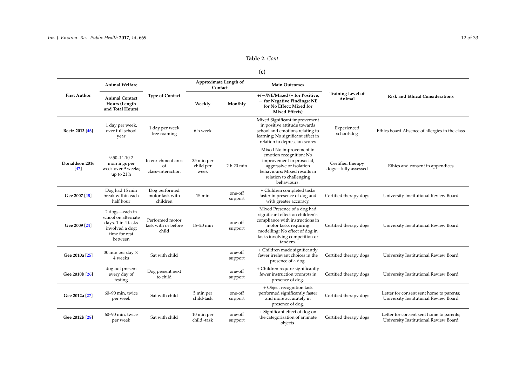## (**c**)

| <b>Animal Welfare</b>               |                                                                                                            |                                                 |                                 | Approximate Length of<br>Contact | <b>Main Outcomes</b>                                                                                                                                                                                       |                                          |                                                                                   |
|-------------------------------------|------------------------------------------------------------------------------------------------------------|-------------------------------------------------|---------------------------------|----------------------------------|------------------------------------------------------------------------------------------------------------------------------------------------------------------------------------------------------------|------------------------------------------|-----------------------------------------------------------------------------------|
| <b>First Author</b>                 | <b>Animal Contact</b><br>Hours (Length<br>and Total Hours)                                                 | <b>Type of Contact</b>                          | Weekly                          | Monthly                          | +/-/NE/Mixed (+ for Positive.<br>- for Negative Findings; NE<br>for No Effect; Mixed for<br>Mixed Effects)                                                                                                 | <b>Training Level of</b><br>Animal       | <b>Risk and Ethical Considerations</b>                                            |
| Beetz 2013 [46]                     | 1 day per week,<br>over full school<br>year                                                                | 1 day per week<br>free roaming                  | 6 h week                        |                                  | Mixed Significant improvement<br>in positive attitude towards<br>school and emotions relating to<br>learning; No significant effect in<br>relation to depression scores                                    | Experienced<br>school-dog                | Ethics board Absence of allergies in the class                                    |
| Donaldson 2016<br>$\left[47\right]$ | $9.50 - 11.102$<br>mornings per<br>week over 9 weeks;<br>up to 21 h                                        | In enrichment area<br>of<br>class-interaction   | 35 min per<br>child per<br>week | 2 h 20 min                       | Mixed No improvement in<br>emotion recognition; No<br>improvement in prosocial,<br>aggressive or isolation<br>behaviours; Mixed results in<br>relation to challenging<br>behaviours.                       | Certified therapy<br>dogs-fully assessed | Ethics and consent in appendices                                                  |
| Gee 2007 [48]                       | Dog had 15 min<br>break within each<br>half hour                                                           | Dog performed<br>motor task with<br>children    | $15 \text{ min}$                | one-off<br>support               | + Children completed tasks<br>faster in presence of dog and<br>with greater accuracy.                                                                                                                      | Certified therapy dogs                   | University Institutional Review Board                                             |
| Gee 2009 [24]                       | 2 dogs-each in<br>school on alternate<br>days. 1 in 4 tasks<br>involved a dog;<br>time for rest<br>between | Performed motor<br>task with or before<br>child | 15-20 min                       | one-off<br>support               | Mixed Presence of a dog had<br>significant effect on children's<br>compliance with instructions in<br>motor tasks requiring<br>modelling; No effect of dog in<br>tasks involving competition or<br>tandem. | Certified therapy dogs                   | University Institutional Review Board                                             |
| Gee 2010a [25]                      | 30 min per day $\times$<br>4 weeks                                                                         | Sat with child                                  |                                 | one-off<br>support               | + Children made significantly<br>fewer irrelevant choices in the<br>presence of a dog.                                                                                                                     | Certified therapy dogs                   | University Institutional Review Board                                             |
| Gee 2010b [26]                      | dog not present<br>every day of<br>testing                                                                 | Dog present next<br>to child                    |                                 | one-off<br>support               | + Children require significantly<br>fewer instruction prompts in<br>presence of dog.                                                                                                                       | Certified therapy dogs                   | University Institutional Review Board                                             |
| Gee 2012a [27]                      | 60-90 min, twice<br>per week                                                                               | Sat with child                                  | 5 min per<br>child-task         | one-off<br>support               | + Object recognition task<br>performed significantly faster<br>and more accurately in<br>presence of dog.                                                                                                  | Certified therapy dogs                   | Letter for consent sent home to parents;<br>University Institutional Review Board |
| Gee 2012b [28]                      | 60-90 min, twice<br>per week                                                                               | Sat with child                                  | 10 min per<br>child-task        | one-off<br>support               | + Significant effect of dog on<br>the categorisation of animate<br>objects.                                                                                                                                | Certified therapy dogs                   | Letter for consent sent home to parents;<br>University Institutional Review Board |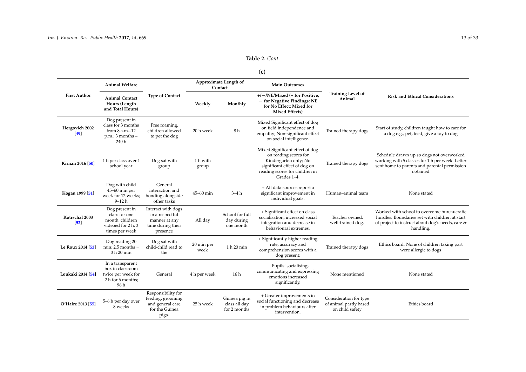## (**c**)

|                                     | <b>Animal Welfare</b>                                                                      |                                                                                         |                    | Approximate Length of<br>Contact               | <b>Main Outcomes</b>                                                                                                                                               |                                                                     |                                                                                                                                                                |  |
|-------------------------------------|--------------------------------------------------------------------------------------------|-----------------------------------------------------------------------------------------|--------------------|------------------------------------------------|--------------------------------------------------------------------------------------------------------------------------------------------------------------------|---------------------------------------------------------------------|----------------------------------------------------------------------------------------------------------------------------------------------------------------|--|
| <b>First Author</b>                 | <b>Animal Contact</b><br>Hours (Length<br>and Total Hours)                                 | <b>Type of Contact</b>                                                                  | Weekly             | Monthly                                        | +/-/NE/Mixed (+ for Positive,<br>- for Negative Findings; NE<br>for No Effect; Mixed for<br><b>Mixed Effects</b>                                                   | <b>Training Level of</b><br>Animal                                  | <b>Risk and Ethical Considerations</b>                                                                                                                         |  |
| Hergovich 2002<br>$\left[49\right]$ | Dog present in<br>class for 3 months<br>from $8 a.m.-12$<br>$p.m.; 3 months =$<br>240 h    | Free roaming,<br>children allowed<br>to pet the dog                                     | 20 h week          | 8 h                                            | Mixed Significant effect of dog<br>on field independence and<br>empathy; Non-significant effect<br>on social intelligence.                                         | Trained therapy dogs                                                | Start of study, children taught how to care for<br>a dog e.g., pet, feed, give a toy to dog                                                                    |  |
| Kirnan 2016 [50]                    | 1 h per class over 1<br>school year                                                        | Dog sat with<br>group                                                                   | 1 h with<br>group  |                                                | Mixed Significant effect of dog<br>on reading scores for<br>Kindergarten only; No<br>significant effect of dog on<br>reading scores for children in<br>Grades 1-4. | Trained therapy dogs                                                | Schedule drawn up so dogs not overworked<br>working with 5 classes for 1 h per week. Letter<br>sent home to parents and parental permission<br>obtained        |  |
| Kogan 1999 [51]                     | Dog with child<br>45-60 min per<br>week for 12 weeks;<br>9–12 h                            | General<br>interaction and<br>bonding alongside<br>other tasks                          | 45-60 min          | $3-4h$                                         | + All data sources report a<br>significant improvement in<br>individual goals.                                                                                     | Human-animal team                                                   | None stated                                                                                                                                                    |  |
| Kotrschal 2003<br>$\sqrt{52}$       | Dog present in<br>class for one<br>month, children<br>videoed for 2 h, 3<br>times per week | Interact with dogs<br>in a respectful<br>manner at any<br>time during their<br>presence | All day            | School for full<br>day during<br>one month     | + Significant effect on class<br>socialisation, increased social<br>integration and decrease in<br>behavioural extremes.                                           | Teacher owned,<br>well-trained dog.                                 | Worked with school to overcome bureaucratic<br>hurdles. Boundaries set with children at start<br>of project to instruct about dog's needs, care &<br>handling. |  |
| Le Roux 2014 [53]                   | Dog reading 20<br>$min; 2.5 months =$<br>3 h 20 min                                        | Dog sat with<br>child-child read to<br>the                                              | 20 min per<br>week | 1 h 20 min                                     | + Significantly higher reading<br>rate, accuracy and<br>comprehension scores with a<br>dog present;                                                                | Trained therapy dogs                                                | Ethics board. None of children taking part<br>were allergic to dogs                                                                                            |  |
| Loukaki 2014 [54]                   | In a transparent<br>box in classroom<br>twice per week for<br>2 h for 6 months;<br>96 h    | General                                                                                 | 4 h per week       | 16 h                                           | + Pupils' socialising,<br>communicating and expressing<br>emotions increased<br>significantly.                                                                     | None mentioned                                                      | None stated                                                                                                                                                    |  |
| O'Haire 2013 [55]                   | 5-6 h per day over<br>8 weeks                                                              | Responsibility for<br>feeding, grooming<br>and general care<br>for the Guinea<br>pigs.  | 25 h week          | Guinea pig in<br>class all day<br>for 2 months | + Greater improvements in<br>social functioning and decrease<br>in problem behaviours after<br>intervention.                                                       | Consideration for type<br>of animal partly based<br>on child safety | Ethics board                                                                                                                                                   |  |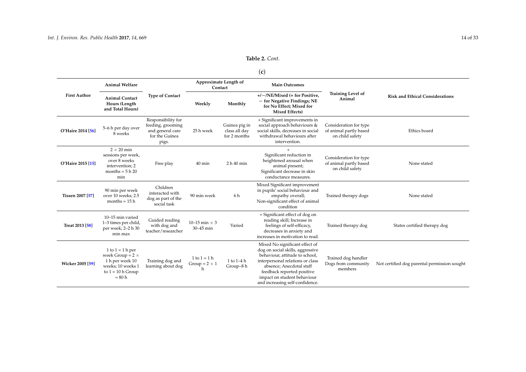## (**c**)

<span id="page-13-0"></span>

|                         | <b>Animal Welfare</b>                                                                                                    |                                                                                        | Approximate Length of<br>Contact               |                                                | <b>Main Outcomes</b>                                                                                                                                                                                                                                                 |                                                                     |                                              |  |
|-------------------------|--------------------------------------------------------------------------------------------------------------------------|----------------------------------------------------------------------------------------|------------------------------------------------|------------------------------------------------|----------------------------------------------------------------------------------------------------------------------------------------------------------------------------------------------------------------------------------------------------------------------|---------------------------------------------------------------------|----------------------------------------------|--|
| <b>First Author</b>     | <b>Animal Contact</b><br>Hours (Length<br>and Total Hours)                                                               | <b>Type of Contact</b>                                                                 | Weekly                                         | Monthly                                        | +/-/NE/Mixed (+ for Positive.<br>- for Negative Findings; NE<br>for No Effect; Mixed for<br><b>Mixed Effects</b>                                                                                                                                                     | <b>Training Level of</b><br>Animal                                  | <b>Risk and Ethical Considerations</b>       |  |
| O'Haire 2014 [56]       | 5-6 h per day over<br>8 weeks                                                                                            | Responsibility for<br>feeding, grooming<br>and general care<br>for the Guinea<br>pigs. | 25 h week                                      | Guinea pig in<br>class all day<br>for 2 months | + Significant improvements in<br>social approach behaviours &<br>social skills, decreases in social<br>withdrawal behaviours after<br>intervention.                                                                                                                  | Consideration for type<br>of animal partly based<br>on child safety | Ethics board                                 |  |
| O'Haire 2015 [15]       | $2 \times 20$ min<br>sessions per week,<br>over 8 weeks<br>intervention; 2<br>months = $5 h 20$<br>min                   | Free play                                                                              | $40 \text{ min}$                               | $2h40$ min                                     | $+$<br>Significant reduction in<br>heightened arousal when<br>animal present;<br>Significant decrease in skin<br>conductance measures.                                                                                                                               | Consideration for type<br>of animal partly based<br>on child safety | None stated                                  |  |
| Tissen 2007 [57]        | 90 min per week<br>over 10 weeks: 2.5<br>months = $15h$                                                                  | Children<br>interacted with<br>dog as part of the<br>social task                       | 90 min week                                    | 6 h                                            | Mixed Significant improvement<br>in pupils' social behaviour and<br>empathy overall;<br>Non-significant effect of animal<br>condition                                                                                                                                | Trained therapy dogs                                                | None stated                                  |  |
| Treat 2013 [58]         | 10-15 min varied<br>1-3 times per child,<br>per week; 2-2 h 30<br>min max                                                | Guided reading<br>with dog and<br>teacher/researcher                                   | 10-15 min $\times$ 3<br>30-45 min              | Varied                                         | + Significant effect of dog on<br>reading skill; Increase in<br>feelings of self-efficacy,<br>decreases in anxiety and<br>increases in motivation to read.                                                                                                           | Trained therapy dog                                                 | States certified therapy dog                 |  |
| <b>Wicker 2005 [59]</b> | 1 to $1 = 1$ h per<br>week Group = $2 \times$<br>1 h per week 10<br>weeks; 10 weeks 1<br>to $1 = 10$ h Group<br>$= 80 h$ | Training dog and<br>learning about dog                                                 | $1$ to $1 = 1$ h<br>Group = $2 \times 1$<br>h. | $1$ to $1-4$ h<br>Group-8h                     | Mixed No significant effect of<br>dog on social skills, aggressive<br>behaviour, attitude to school,<br>interpersonal relations or class<br>absence: Anecdotal staff<br>feedback reported positive<br>impact on student behaviour<br>and increasing self-confidence. | Trained dog handler<br>Dogs from community<br>members               | Not certified dog parental permission sought |  |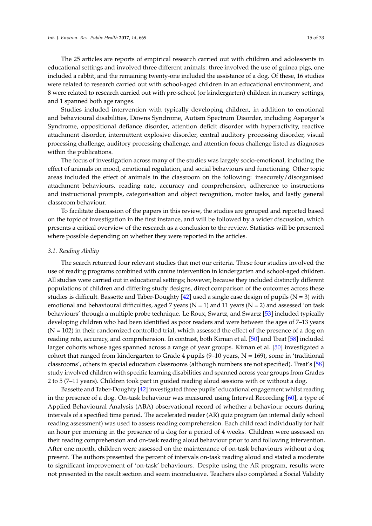The 25 articles are reports of empirical research carried out with children and adolescents in educational settings and involved three different animals: three involved the use of guinea pigs, one included a rabbit, and the remaining twenty-one included the assistance of a dog. Of these, 16 studies were related to research carried out with school-aged children in an educational environment, and 8 were related to research carried out with pre-school (or kindergarten) children in nursery settings, and 1 spanned both age ranges.

Studies included intervention with typically developing children, in addition to emotional and behavioural disabilities, Downs Syndrome, Autism Spectrum Disorder, including Asperger's Syndrome, oppositional defiance disorder, attention deficit disorder with hyperactivity, reactive attachment disorder, intermittent explosive disorder, central auditory processing disorder, visual processing challenge, auditory processing challenge, and attention focus challenge listed as diagnoses within the publications.

The focus of investigation across many of the studies was largely socio-emotional, including the effect of animals on mood, emotional regulation, and social behaviours and functioning. Other topic areas included the effect of animals in the classroom on the following: insecurely/disorganised attachment behaviours, reading rate, accuracy and comprehension, adherence to instructions and instructional prompts, categorisation and object recognition, motor tasks, and lastly general classroom behaviour.

To facilitate discussion of the papers in this review, the studies are grouped and reported based on the topic of investigation in the first instance, and will be followed by a wider discussion, which presents a critical overview of the research as a conclusion to the review. Statistics will be presented where possible depending on whether they were reported in the articles.

#### *3.1. Reading Ability*

The search returned four relevant studies that met our criteria. These four studies involved the use of reading programs combined with canine intervention in kindergarten and school-aged children. All studies were carried out in educational settings; however, because they included distinctly different populations of children and differing study designs, direct comparison of the outcomes across these studies is difficult. Bassette and Taber-Doughty  $[42]$  used a single case design of pupils (N = 3) with emotional and behavioural difficulties, aged 7 years ( $N = 1$ ) and 11 years ( $N = 2$ ) and assessed 'on task behaviours' through a multiple probe technique. Le Roux, Swartz, and Swartz [\[53\]](#page-31-21) included typically developing children who had been identified as poor readers and were between the ages of 7–13 years  $(N = 102)$  in their randomized controlled trial, which assessed the effect of the presence of a dog on reading rate, accuracy, and comprehension. In contrast, both Kirnan et al. [\[50\]](#page-31-22) and Treat [\[58\]](#page-31-23) included larger cohorts whose ages spanned across a range of year groups. Kirnan et al. [\[50\]](#page-31-22) investigated a cohort that ranged from kindergarten to Grade 4 pupils  $(9-10 \text{ years}, N = 169)$ , some in 'traditional classrooms', others in special education classrooms (although numbers are not specified). Treat's [\[58\]](#page-31-23) study involved children with specific learning disabilities and spanned across year groups from Grades 2 to 5 (7–11 years). Children took part in guided reading aloud sessions with or without a dog.

Bassette and Taber-Doughty [\[42\]](#page-31-20) investigated three pupils' educational engagement whilst reading in the presence of a dog. On-task behaviour was measured using Interval Recording [\[60\]](#page-31-24), a type of Applied Behavioural Analysis (ABA) observational record of whether a behaviour occurs during intervals of a specified time period. The accelerated reader (AR) quiz program (an internal daily school reading assessment) was used to assess reading comprehension. Each child read individually for half an hour per morning in the presence of a dog for a period of 4 weeks. Children were assessed on their reading comprehension and on-task reading aloud behaviour prior to and following intervention. After one month, children were assessed on the maintenance of on-task behaviours without a dog present. The authors presented the percent of intervals on-task reading aloud and stated a moderate to significant improvement of 'on-task' behaviours. Despite using the AR program, results were not presented in the result section and seem inconclusive. Teachers also completed a Social Validity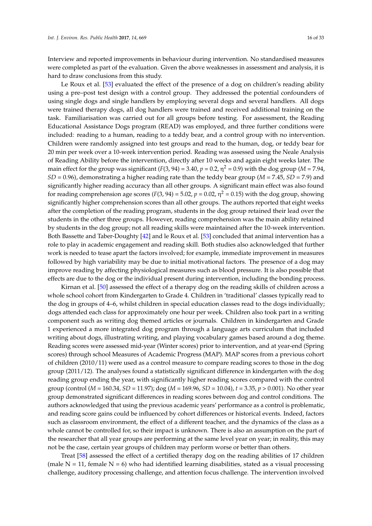Interview and reported improvements in behaviour during intervention. No standardised measures were completed as part of the evaluation. Given the above weaknesses in assessment and analysis, it is hard to draw conclusions from this study.

Le Roux et al. [\[53\]](#page-31-21) evaluated the effect of the presence of a dog on children's reading ability using a pre–post test design with a control group. They addressed the potential confounders of using single dogs and single handlers by employing several dogs and several handlers. All dogs were trained therapy dogs, all dog handlers were trained and received additional training on the task. Familiarisation was carried out for all groups before testing. For assessment, the Reading Educational Assistance Dogs program (READ) was employed, and three further conditions were included: reading to a human, reading to a teddy bear, and a control group with no intervention. Children were randomly assigned into test groups and read to the human, dog, or teddy bear for 20 min per week over a 10-week intervention period. Reading was assessed using the Neale Analysis of Reading Ability before the intervention, directly after 10 weeks and again eight weeks later. The main effect for the group was significant ( $F(3, 94) = 3.40$ ,  $p = 0.2$ ,  $\eta^2 = 0.9$ ) with the dog group ( $M = 7.94$ , *SD* = 0.96), demonstrating a higher reading rate than the teddy bear group (*M* = 7.45, *SD* = 7.9) and significantly higher reading accuracy than all other groups. A significant main effect was also found for reading comprehension age scores  $(F(3, 94) = 5.02, p = 0.02, \eta^2 = 0.15)$  with the dog group, showing significantly higher comprehension scores than all other groups. The authors reported that eight weeks after the completion of the reading program, students in the dog group retained their lead over the students in the other three groups. However, reading comprehension was the main ability retained by students in the dog group; not all reading skills were maintained after the 10-week intervention. Both Bassette and Taber-Doughty [\[42\]](#page-31-20) and le Roux et al. [\[53\]](#page-31-21) concluded that animal intervention has a role to play in academic engagement and reading skill. Both studies also acknowledged that further work is needed to tease apart the factors involved; for example, immediate improvement in measures followed by high variability may be due to initial motivational factors. The presence of a dog may improve reading by affecting physiological measures such as blood pressure. It is also possible that effects are due to the dog or the individual present during intervention, including the bonding process.

Kirnan et al. [\[50\]](#page-31-22) assessed the effect of a therapy dog on the reading skills of children across a whole school cohort from Kindergarten to Grade 4. Children in 'traditional' classes typically read to the dog in groups of 4–6, whilst children in special education classes read to the dogs individually; dogs attended each class for approximately one hour per week. Children also took part in a writing component such as writing dog themed articles or journals. Children in kindergarten and Grade 1 experienced a more integrated dog program through a language arts curriculum that included writing about dogs, illustrating writing, and playing vocabulary games based around a dog theme. Reading scores were assessed mid-year (Winter scores) prior to intervention, and at year-end (Spring scores) through school Measures of Academic Progress (MAP). MAP scores from a previous cohort of children (2010/11) were used as a control measure to compare reading scores to those in the dog group (2011/12). The analyses found a statistically significant difference in kindergarten with the dog reading group ending the year, with significantly higher reading scores compared with the control group (control (*M* = 160.34, *SD* = 11.97); dog (*M* = 169.96, *SD* = 10.04), *t* = 3.35, *p* > 0.001). No other year group demonstrated significant differences in reading scores between dog and control conditions. The authors acknowledged that using the previous academic years' performance as a control is problematic, and reading score gains could be influenced by cohort differences or historical events. Indeed, factors such as classroom environment, the effect of a different teacher, and the dynamics of the class as a whole cannot be controlled for, so their impact is unknown. There is also an assumption on the part of the researcher that all year groups are performing at the same level year on year; in reality, this may not be the case, certain year groups of children may perform worse or better than others.

Treat [\[58\]](#page-31-23) assessed the effect of a certified therapy dog on the reading abilities of 17 children (male  $N = 11$ , female  $N = 6$ ) who had identified learning disabilities, stated as a visual processing challenge, auditory processing challenge, and attention focus challenge. The intervention involved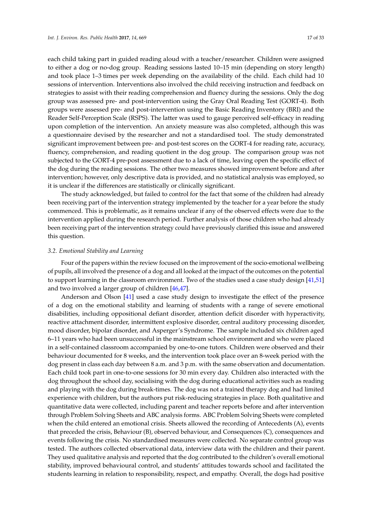each child taking part in guided reading aloud with a teacher/researcher. Children were assigned to either a dog or no-dog group. Reading sessions lasted 10–15 min (depending on story length) and took place 1–3 times per week depending on the availability of the child. Each child had 10 sessions of intervention. Interventions also involved the child receiving instruction and feedback on strategies to assist with their reading comprehension and fluency during the sessions. Only the dog group was assessed pre- and post-intervention using the Gray Oral Reading Test (GORT-4). Both groups were assessed pre- and post-intervention using the Basic Reading Inventory (BRI) and the Reader Self-Perception Scale (RSPS). The latter was used to gauge perceived self-efficacy in reading upon completion of the intervention. An anxiety measure was also completed, although this was a questionnaire devised by the researcher and not a standardised tool. The study demonstrated significant improvement between pre- and post-test scores on the GORT-4 for reading rate, accuracy, fluency, comprehension, and reading quotient in the dog group. The comparison group was not subjected to the GORT-4 pre-post assessment due to a lack of time, leaving open the specific effect of the dog during the reading sessions. The other two measures showed improvement before and after intervention; however, only descriptive data is provided, and no statistical analysis was employed, so it is unclear if the differences are statistically or clinically significant.

The study acknowledged, but failed to control for the fact that some of the children had already been receiving part of the intervention strategy implemented by the teacher for a year before the study commenced. This is problematic, as it remains unclear if any of the observed effects were due to the intervention applied during the research period. Further analysis of those children who had already been receiving part of the intervention strategy could have previously clarified this issue and answered this question.

#### *3.2. Emotional Stability and Learning*

Four of the papers within the review focused on the improvement of the socio-emotional wellbeing of pupils, all involved the presence of a dog and all looked at the impact of the outcomes on the potential to support learning in the classroom environment. Two of the studies used a case study design [\[41,](#page-31-25)[51\]](#page-31-26) and two involved a larger group of children [\[46,](#page-31-27)[47\]](#page-31-28).

Anderson and Olson [\[41\]](#page-31-25) used a case study design to investigate the effect of the presence of a dog on the emotional stability and learning of students with a range of severe emotional disabilities, including oppositional defiant disorder, attention deficit disorder with hyperactivity, reactive attachment disorder, intermittent explosive disorder, central auditory processing disorder, mood disorder, bipolar disorder, and Asperger's Syndrome. The sample included six children aged 6–11 years who had been unsuccessful in the mainstream school environment and who were placed in a self-contained classroom accompanied by one-to-one tutors. Children were observed and their behaviour documented for 8 weeks, and the intervention took place over an 8-week period with the dog present in class each day between 8 a.m. and 3 p.m. with the same observation and documentation. Each child took part in one-to-one sessions for 30 min every day. Children also interacted with the dog throughout the school day, socialising with the dog during educational activities such as reading and playing with the dog during break-times. The dog was not a trained therapy dog and had limited experience with children, but the authors put risk-reducing strategies in place. Both qualitative and quantitative data were collected, including parent and teacher reports before and after intervention through Problem Solving Sheets and ABC analysis forms. ABC Problem Solving Sheets were completed when the child entered an emotional crisis. Sheets allowed the recording of Antecedents (A), events that preceded the crisis, Behaviour (B), observed behaviour, and Consequences (C), consequences and events following the crisis. No standardised measures were collected. No separate control group was tested. The authors collected observational data, interview data with the children and their parent. They used qualitative analysis and reported that the dog contributed to the children's overall emotional stability, improved behavioural control, and students' attitudes towards school and facilitated the students learning in relation to responsibility, respect, and empathy. Overall, the dogs had positive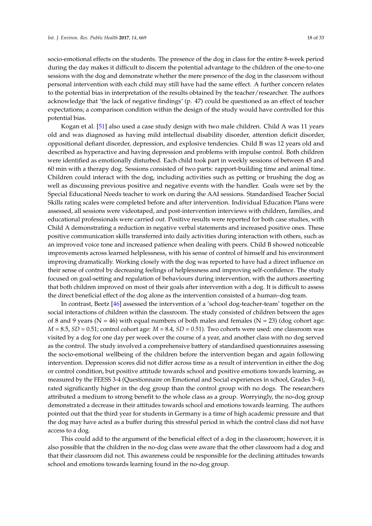socio-emotional effects on the students. The presence of the dog in class for the entire 8-week period during the day makes it difficult to discern the potential advantage to the children of the one-to-one sessions with the dog and demonstrate whether the mere presence of the dog in the classroom without personal intervention with each child may still have had the same effect. A further concern relates to the potential bias in interpretation of the results obtained by the teacher/researcher. The authors acknowledge that 'the lack of negative findings' (p. 47) could be questioned as an effect of teacher expectations; a comparison condition within the design of the study would have controlled for this potential bias.

Kogan et al. [\[51\]](#page-31-26) also used a case study design with two male children. Child A was 11 years old and was diagnosed as having mild intellectual disability disorder, attention deficit disorder, oppositional defiant disorder, depression, and explosive tendencies. Child B was 12 years old and described as hyperactive and having depression and problems with impulse control. Both children were identified as emotionally disturbed. Each child took part in weekly sessions of between 45 and 60 min with a therapy dog. Sessions consisted of two parts: rapport-building time and animal time. Children could interact with the dog, including activities such as petting or brushing the dog as well as discussing previous positive and negative events with the handler. Goals were set by the Special Educational Needs teacher to work on during the AAI sessions. Standardised Teacher Social Skills rating scales were completed before and after intervention. Individual Education Plans were assessed, all sessions were videotaped, and post-intervention interviews with children, families, and educational professionals were carried out. Positive results were reported for both case studies, with Child A demonstrating a reduction in negative verbal statements and increased positive ones. These positive communication skills transferred into daily activities during interaction with others, such as an improved voice tone and increased patience when dealing with peers. Child B showed noticeable improvements across learned helplessness, with his sense of control of himself and his environment improving dramatically. Working closely with the dog was reported to have had a direct influence on their sense of control by decreasing feelings of helplessness and improving self-confidence. The study focused on goal-setting and regulation of behaviours during intervention, with the authors asserting that both children improved on most of their goals after intervention with a dog. It is difficult to assess the direct beneficial effect of the dog alone as the intervention consisted of a human–dog team.

In contrast, Beetz [\[46\]](#page-31-27) assessed the intervention of a 'school dog-teacher-team' together on the social interactions of children within the classroom. The study consisted of children between the ages of 8 and 9 years ( $N = 46$ ) with equal numbers of both males and females ( $N = 23$ ) (dog cohort age: *M* = 8.5, *SD* = 0.51; control cohort age: *M* = 8.4, *SD* = 0.51). Two cohorts were used: one classroom was visited by a dog for one day per week over the course of a year, and another class with no dog served as the control. The study involved a comprehensive battery of standardised questionnaires assessing the socio-emotional wellbeing of the children before the intervention began and again following intervention. Depression scores did not differ across time as a result of intervention in either the dog or control condition, but positive attitude towards school and positive emotions towards learning, as measured by the FEESS 3-4 (Questionnaire on Emotional and Social experiences in school, Grades 3–4), rated significantly higher in the dog group than the control group with no dogs. The researchers attributed a medium to strong benefit to the whole class as a group. Worryingly, the no-dog group demonstrated a decrease in their attitudes towards school and emotions towards learning. The authors pointed out that the third year for students in Germany is a time of high academic pressure and that the dog may have acted as a buffer during this stressful period in which the control class did not have access to a dog.

This could add to the argument of the beneficial effect of a dog in the classroom; however, it is also possible that the children in the no-dog class were aware that the other classroom had a dog and that their classroom did not. This awareness could be responsible for the declining attitudes towards school and emotions towards learning found in the no-dog group.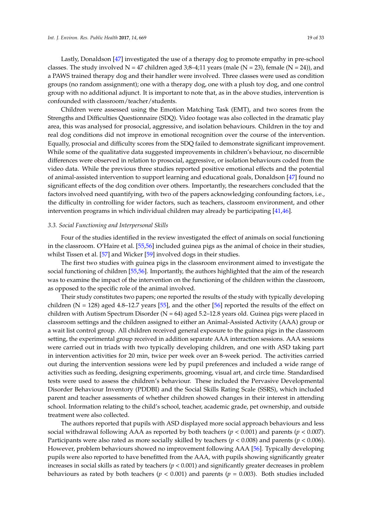Lastly, Donaldson [\[47\]](#page-31-28) investigated the use of a therapy dog to promote empathy in pre-school classes. The study involved  $N = 47$  children aged 3;8–4;11 years (male ( $N = 23$ ), female ( $N = 24$ )), and a PAWS trained therapy dog and their handler were involved. Three classes were used as condition groups (no random assignment); one with a therapy dog, one with a plush toy dog, and one control group with no additional adjunct. It is important to note that, as in the above studies, intervention is confounded with classroom/teacher/students.

Children were assessed using the Emotion Matching Task (EMT), and two scores from the Strengths and Difficulties Questionnaire (SDQ). Video footage was also collected in the dramatic play area, this was analysed for prosocial, aggressive, and isolation behaviours. Children in the toy and real dog conditions did not improve in emotional recognition over the course of the intervention. Equally, prosocial and difficulty scores from the SDQ failed to demonstrate significant improvement. While some of the qualitative data suggested improvements in children's behaviour, no discernible differences were observed in relation to prosocial, aggressive, or isolation behaviours coded from the video data. While the previous three studies reported positive emotional effects and the potential of animal-assisted intervention to support learning and educational goals, Donaldson [\[47\]](#page-31-28) found no significant effects of the dog condition over others. Importantly, the researchers concluded that the factors involved need quantifying, with two of the papers acknowledging confounding factors, i.e., the difficulty in controlling for wider factors, such as teachers, classroom environment, and other intervention programs in which individual children may already be participating [\[41,](#page-31-25)[46\]](#page-31-27).

#### *3.3. Social Functioning and Interpersonal Skills*

Four of the studies identified in the review investigated the effect of animals on social functioning in the classroom. O'Haire et al. [\[55](#page-31-29)[,56\]](#page-31-30) included guinea pigs as the animal of choice in their studies, whilst Tissen et al. [\[57\]](#page-31-31) and Wicker [\[59\]](#page-31-32) involved dogs in their studies.

The first two studies with guinea pigs in the classroom environment aimed to investigate the social functioning of children [\[55](#page-31-29)[,56\]](#page-31-30). Importantly, the authors highlighted that the aim of the research was to examine the impact of the intervention on the functioning of the children within the classroom, as opposed to the specific role of the animal involved.

Their study constitutes two papers; one reported the results of the study with typically developing children ( $N = 128$ ) aged 4.8–12.7 years [\[55\]](#page-31-29), and the other [\[56\]](#page-31-30) reported the results of the effect on children with Autism Spectrum Disorder ( $N = 64$ ) aged 5.2–12.8 years old. Guinea pigs were placed in classroom settings and the children assigned to either an Animal-Assisted Activity (AAA) group or a wait list control group. All children received general exposure to the guinea pigs in the classroom setting, the experimental group received in addition separate AAA interaction sessions. AAA sessions were carried out in triads with two typically developing children, and one with ASD taking part in intervention activities for 20 min, twice per week over an 8-week period. The activities carried out during the intervention sessions were led by pupil preferences and included a wide range of activities such as feeding, designing experiments, grooming, visual art, and circle time. Standardised tests were used to assess the children's behaviour. These included the Pervasive Developmental Disorder Behaviour Inventory (PDDBI) and the Social Skills Rating Scale (SSRS), which included parent and teacher assessments of whether children showed changes in their interest in attending school. Information relating to the child's school, teacher, academic grade, pet ownership, and outside treatment were also collected.

The authors reported that pupils with ASD displayed more social approach behaviours and less social withdrawal following AAA as reported by both teachers ( $p < 0.001$ ) and parents ( $p < 0.007$ ). Participants were also rated as more socially skilled by teachers (*p* < 0.008) and parents (*p* < 0.006). However, problem behaviours showed no improvement following AAA [\[56\]](#page-31-30). Typically developing pupils were also reported to have benefitted from the AAA, with pupils showing significantly greater increases in social skills as rated by teachers (*p* < 0.001) and significantly greater decreases in problem behaviours as rated by both teachers ( $p < 0.001$ ) and parents ( $p = 0.003$ ). Both studies included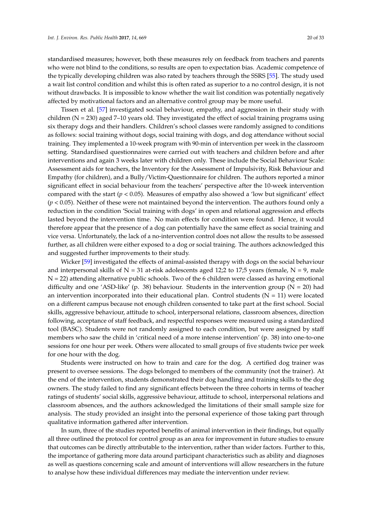standardised measures; however, both these measures rely on feedback from teachers and parents who were not blind to the conditions, so results are open to expectation bias. Academic competence of the typically developing children was also rated by teachers through the SSRS [\[55\]](#page-31-29). The study used a wait list control condition and whilst this is often rated as superior to a no control design, it is not without drawbacks. It is impossible to know whether the wait list condition was potentially negatively affected by motivational factors and an alternative control group may be more useful.

Tissen et al. [\[57\]](#page-31-31) investigated social behaviour, empathy, and aggression in their study with children ( $N = 230$ ) aged 7–10 years old. They investigated the effect of social training programs using six therapy dogs and their handlers. Children's school classes were randomly assigned to conditions as follows: social training without dogs, social training with dogs, and dog attendance without social training. They implemented a 10-week program with 90-min of intervention per week in the classroom setting. Standardised questionnaires were carried out with teachers and children before and after interventions and again 3 weeks later with children only. These include the Social Behaviour Scale: Assessment aids for teachers, the Inventory for the Assessment of Impulsivity, Risk Behaviour and Empathy (for children), and a Bully/Victim-Questionnaire for children. The authors reported a minor significant effect in social behaviour from the teachers' perspective after the 10-week intervention compared with the start ( $p < 0.05$ ). Measures of empathy also showed a 'low but significant' effect (*p* < 0.05). Neither of these were not maintained beyond the intervention. The authors found only a reduction in the condition 'Social training with dogs' in open and relational aggression and effects lasted beyond the intervention time. No main effects for condition were found. Hence, it would therefore appear that the presence of a dog can potentially have the same effect as social training and vice versa. Unfortunately, the lack of a no-intervention control does not allow the results to be assessed further, as all children were either exposed to a dog or social training. The authors acknowledged this and suggested further improvements to their study.

Wicker [\[59\]](#page-31-32) investigated the effects of animal-assisted therapy with dogs on the social behaviour and interpersonal skills of  $N = 31$  at-risk adolescents aged 12;2 to 17;5 years (female,  $N = 9$ , male  $N = 22$ ) attending alternative public schools. Two of the 6 children were classed as having emotional difficulty and one 'ASD-like' (p. 38) behaviour. Students in the intervention group ( $N = 20$ ) had an intervention incorporated into their educational plan. Control students  $(N = 11)$  were located on a different campus because not enough children consented to take part at the first school. Social skills, aggressive behaviour, attitude to school, interpersonal relations, classroom absences, direction following, acceptance of staff feedback, and respectful responses were measured using a standardized tool (BASC). Students were not randomly assigned to each condition, but were assigned by staff members who saw the child in 'critical need of a more intense intervention' (p. 38) into one-to-one sessions for one hour per week. Others were allocated to small groups of five students twice per week for one hour with the dog.

Students were instructed on how to train and care for the dog. A certified dog trainer was present to oversee sessions. The dogs belonged to members of the community (not the trainer). At the end of the intervention, students demonstrated their dog handling and training skills to the dog owners. The study failed to find any significant effects between the three cohorts in terms of teacher ratings of students' social skills, aggressive behaviour, attitude to school, interpersonal relations and classroom absences, and the authors acknowledged the limitations of their small sample size for analysis. The study provided an insight into the personal experience of those taking part through qualitative information gathered after intervention.

In sum, three of the studies reported benefits of animal intervention in their findings, but equally all three outlined the protocol for control group as an area for improvement in future studies to ensure that outcomes can be directly attributable to the intervention, rather than wider factors. Further to this, the importance of gathering more data around participant characteristics such as ability and diagnoses as well as questions concerning scale and amount of interventions will allow researchers in the future to analyse how these individual differences may mediate the intervention under review.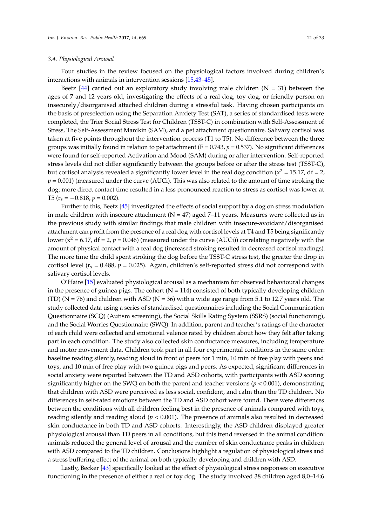Four studies in the review focused on the physiological factors involved during children's interactions with animals in intervention sessions [\[15](#page-29-12)[,43](#page-31-12)[–45\]](#page-31-33).

Beetz  $[44]$  carried out an exploratory study involving male children (N = 31) between the ages of 7 and 12 years old, investigating the effects of a real dog, toy dog, or friendly person on insecurely/disorganised attached children during a stressful task. Having chosen participants on the basis of preselection using the Separation Anxiety Test (SAT), a series of standardised tests were completed, the Trier Social Stress Test for Children (TSST-C) in combination with Self-Assessment of Stress, The Self-Assessment Manikin (SAM), and a pet attachment questionnaire. Salivary cortisol was taken at five points throughout the intervention process (T1 to T5). No difference between the three groups was initially found in relation to pet attachment ( $F = 0.743$ ,  $p = 0.537$ ). No significant differences were found for self-reported Activation and Mood (SAM) during or after intervention. Self-reported stress levels did not differ significantly between the groups before or after the stress test (TSST-C), but cortisol analysis revealed a significantly lower level in the real dog condition ( $x^2$  = 15.17, df = 2,  $p = 0.001$ ) (measured under the curve (AUCi). This was also related to the amount of time stroking the dog; more direct contact time resulted in a less pronounced reaction to stress as cortisol was lower at T5 ( $r_s = -0.818$ ,  $p = 0.002$ ).

Further to this, Beetz [\[45\]](#page-31-33) investigated the effects of social support by a dog on stress modulation in male children with insecure attachment ( $N = 47$ ) aged 7–11 years. Measures were collected as in the previous study with similar findings that male children with insecure-avoidant/disorganised attachment can profit from the presence of a real dog with cortisol levels at T4 and T5 being significantly lower ( $x^2$  = 6.17, df = 2,  $p$  = 0.046) (measured under the curve (AUCi)) correlating negatively with the amount of physical contact with a real dog (increased stroking resulted in decreased cortisol readings). The more time the child spent stroking the dog before the TSST-C stress test, the greater the drop in cortisol level ( $r_s$  = 0.488,  $p$  = 0.025). Again, children's self-reported stress did not correspond with salivary cortisol levels.

O'Haire [\[15\]](#page-29-12) evaluated physiological arousal as a mechanism for observed behavioural changes in the presence of guinea pigs. The cohort  $(N = 114)$  consisted of both typically developing children (TD) ( $N = 76$ ) and children with ASD ( $N = 36$ ) with a wide age range from 5.1 to 12.7 years old. The study collected data using a series of standardised questionnaires including the Social Communication Questionnaire (SCQ) (Autism screening), the Social Skills Rating System (SSRS) (social functioning), and the Social Worries Questionnaire (SWQ). In addition, parent and teacher's ratings of the character of each child were collected and emotional valence rated by children about how they felt after taking part in each condition. The study also collected skin conductance measures, including temperature and motor movement data. Children took part in all four experimental conditions in the same order: baseline reading silently, reading aloud in front of peers for 1 min, 10 min of free play with peers and toys, and 10 min of free play with two guinea pigs and peers. As expected, significant differences in social anxiety were reported between the TD and ASD cohorts, with participants with ASD scoring significantly higher on the SWQ on both the parent and teacher versions ( $p < 0.001$ ), demonstrating that children with ASD were perceived as less social, confident, and calm than the TD children. No differences in self-rated emotions between the TD and ASD cohort were found. There were differences between the conditions with all children feeling best in the presence of animals compared with toys, reading silently and reading aloud  $(p < 0.001)$ . The presence of animals also resulted in decreased skin conductance in both TD and ASD cohorts. Interestingly, the ASD children displayed greater physiological arousal than TD peers in all conditions, but this trend reversed in the animal condition: animals reduced the general level of arousal and the number of skin conductance peaks in children with ASD compared to the TD children. Conclusions highlight a regulation of physiological stress and a stress buffering effect of the animal on both typically developing and children with ASD.

Lastly, Becker [\[43\]](#page-31-12) specifically looked at the effect of physiological stress responses on executive functioning in the presence of either a real or toy dog. The study involved 38 children aged 8;0–14;6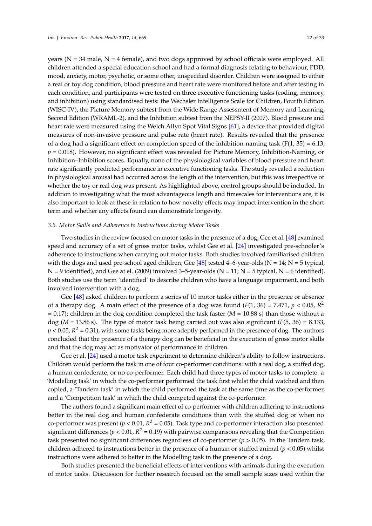years ( $N = 34$  male,  $N = 4$  female), and two dogs approved by school officials were employed. All children attended a special education school and had a formal diagnosis relating to behaviour, PDD, mood, anxiety, motor, psychotic, or some other, unspecified disorder. Children were assigned to either a real or toy dog condition, blood pressure and heart rate were monitored before and after testing in each condition, and participants were tested on three executive functioning tasks (coding, memory, and inhibition) using standardised tests: the Wechsler Intelligence Scale for Children, Fourth Edition (WISC-IV), the Picture Memory subtest from the Wide Range Assessment of Memory and Learning, Second Edition (WRAML-2), and the Inhibition subtest from the NEPSY-II (2007). Blood pressure and heart rate were measured using the Welch Allyn Spot Vital Signs [\[61\]](#page-31-34), a device that provided digital measures of non-invasive pressure and pulse rate (heart rate). Results revealed that the presence of a dog had a significant effect on completion speed of the inhibition-naming task (F(1, 35) = 6.13, *p* = 0.018). However, no significant effect was revealed for Picture Memory, Inhibition-Naming, or Inhibition–Inhibition scores. Equally, none of the physiological variables of blood pressure and heart rate significantly predicted performance in executive functioning tasks. The study revealed a reduction in physiological arousal had occurred across the length of the intervention, but this was irrespective of whether the toy or real dog was present. As highlighted above, control groups should be included. In addition to investigating what the most advantageous length and timescales for interventions are, it is also important to look at these in relation to how novelty effects may impact intervention in the short term and whether any effects found can demonstrate longevity.

#### *3.5. Motor Skills and Adherence to Instructions during Motor Tasks*

Two studies in the review focused on motor tasks in the presence of a dog, Gee et al. [\[48\]](#page-31-17) examined speed and accuracy of a set of gross motor tasks, whilst Gee et al. [\[24\]](#page-30-19) investigated pre-schooler's adherence to instructions when carrying out motor tasks. Both studies involved familiarised children with the dogs and used pre-school aged children; Gee [\[48\]](#page-31-17) tested 4–6-year-olds ( $N = 14$ ;  $N = 5$  typical,  $N = 9$  identified), and Gee at el. (2009) involved 3-5-year-olds (N = 11; N = 5 typical, N = 6 identified). Both studies use the term 'identified' to describe children who have a language impairment, and both involved intervention with a dog.

Gee [\[48\]](#page-31-17) asked children to perform a series of 10 motor tasks either in the presence or absence of a therapy dog. A main effect of the presence of a dog was found  $(F(1, 36) = 7.471, p < 0.05, R^2)$  $= 0.17$ ); children in the dog condition completed the task faster ( $M = 10.88$  s) than those without a dog ( $M = 13.86$  s). The type of motor task being carried out was also significant ( $F(5, 36) = 8.133$ ,  $p < 0.05$ ,  $R^2$  = 0.31), with some tasks being more adeptly performed in the presence of dog. The authors concluded that the presence of a therapy dog can be beneficial in the execution of gross motor skills and that the dog may act as motivator of performance in children.

Gee et al. [\[24\]](#page-30-19) used a motor task experiment to determine children's ability to follow instructions. Children would perform the task in one of four co-performer conditions: with a real dog, a stuffed dog, a human confederate, or no co-performer. Each child had three types of motor tasks to complete: a 'Modelling task' in which the co-performer performed the task first whilst the child watched and then copied, a 'Tandem task' in which the child performed the task at the same time as the co-performer, and a 'Competition task' in which the child competed against the co-performer.

The authors found a significant main effect of co-performer with children adhering to instructions better in the real dog and human confederate conditions than with the stuffed dog or when no co-performer was present ( $p < 0.01$ ,  $R^2 = 0.05$ ). Task type and co-performer interaction also presented significant differences ( $p < 0.01$ ,  $R^2 = 0.19$ ) with pairwise comparisons revealing that the Competition task presented no significant differences regardless of co-performer (*p* > 0.05). In the Tandem task, children adhered to instructions better in the presence of a human or stuffed animal (*p* < 0.05) whilst instructions were adhered to better in the Modelling task in the presence of a dog.

Both studies presented the beneficial effects of interventions with animals during the execution of motor tasks. Discussion for further research focused on the small sample sizes used within the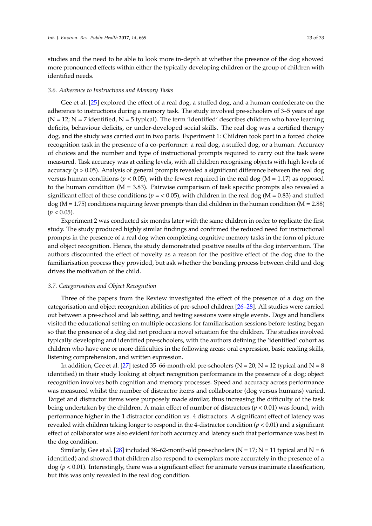studies and the need to be able to look more in-depth at whether the presence of the dog showed more pronounced effects within either the typically developing children or the group of children with identified needs.

#### *3.6. Adherence to Instructions and Memory Tasks*

Gee et al. [\[25\]](#page-30-20) explored the effect of a real dog, a stuffed dog, and a human confederate on the adherence to instructions during a memory task. The study involved pre-schoolers of 3–5 years of age  $(N = 12; N = 7$  identified,  $N = 5$  typical). The term 'identified' describes children who have learning deficits, behaviour deficits, or under-developed social skills. The real dog was a certified therapy dog, and the study was carried out in two parts. Experiment 1: Children took part in a forced choice recognition task in the presence of a co-performer: a real dog, a stuffed dog, or a human. Accuracy of choices and the number and type of instructional prompts required to carry out the task were measured. Task accuracy was at ceiling levels, with all children recognising objects with high levels of accuracy (*p* > 0.05). Analysis of general prompts revealed a significant difference between the real dog versus human conditions ( $p < 0.05$ ), with the fewest required in the real dog ( $M = 1.17$ ) as opposed to the human condition ( $M = 3.83$ ). Pairwise comparison of task specific prompts also revealed a significant effect of these conditions ( $p = 0.05$ ), with children in the real dog (M = 0.83) and stuffed  $dog (M = 1.75)$  conditions requiring fewer prompts than did children in the human condition ( $M = 2.88$ )  $(p < 0.05)$ .

Experiment 2 was conducted six months later with the same children in order to replicate the first study. The study produced highly similar findings and confirmed the reduced need for instructional prompts in the presence of a real dog when completing cognitive memory tasks in the form of picture and object recognition. Hence, the study demonstrated positive results of the dog intervention. The authors discounted the effect of novelty as a reason for the positive effect of the dog due to the familiarisation process they provided, but ask whether the bonding process between child and dog drives the motivation of the child.

#### *3.7. Categorisation and Object Recognition*

Three of the papers from the Review investigated the effect of the presence of a dog on the categorisation and object recognition abilities of pre-school children [\[26–](#page-30-21)[28\]](#page-30-4). All studies were carried out between a pre-school and lab setting, and testing sessions were single events. Dogs and handlers visited the educational setting on multiple occasions for familiarisation sessions before testing began so that the presence of a dog did not produce a novel situation for the children. The studies involved typically developing and identified pre-schoolers, with the authors defining the 'identified' cohort as children who have one or more difficulties in the following areas: oral expression, basic reading skills, listening comprehension, and written expression.

In addition, Gee et al. [\[27\]](#page-30-22) tested 35–66-month-old pre-schoolers ( $N = 20$ ;  $N = 12$  typical and  $N = 8$ identified) in their study looking at object recognition performance in the presence of a dog; object recognition involves both cognition and memory processes. Speed and accuracy across performance was measured whilst the number of distractor items and collaborator (dog versus humans) varied. Target and distractor items were purposely made similar, thus increasing the difficulty of the task being undertaken by the children. A main effect of number of distractors (*p* < 0.01) was found, with performance higher in the 1 distractor condition vs. 4 distractors. A significant effect of latency was revealed with children taking longer to respond in the 4-distractor condition (*p* < 0.01) and a significant effect of collaborator was also evident for both accuracy and latency such that performance was best in the dog condition.

Similarly, Gee et al. [\[28\]](#page-30-4) included 38–62-month-old pre-schoolers ( $N = 17$ ;  $N = 11$  typical and  $N = 6$ identified) and showed that children also respond to exemplars more accurately in the presence of a dog ( $p < 0.01$ ). Interestingly, there was a significant effect for animate versus inanimate classification, but this was only revealed in the real dog condition.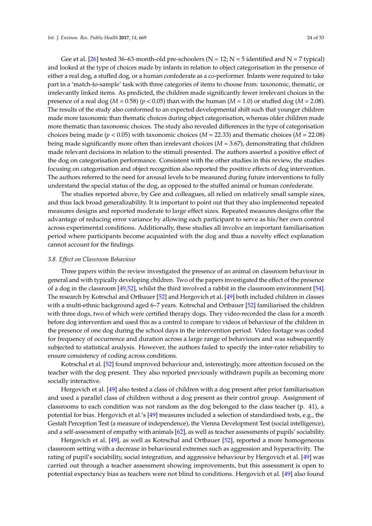Gee et al. [\[26\]](#page-30-21) tested 36–63-month-old pre-schoolers ( $N = 12$ ;  $N = 5$  identified and  $N = 7$  typical) and looked at the type of choices made by infants in relation to object categorisation in the presence of either a real dog, a stuffed dog, or a human confederate as a co-performer. Infants were required to take part in a 'match-to-sample' task with three categories of items to choose from: taxonomic, thematic, or irrelevantly linked items. As predicted, the children made significantly fewer irrelevant choices in the presence of a real dog ( $M = 0.58$ ) ( $p < 0.05$ ) than with the human ( $M = 1.0$ ) or stuffed dog ( $M = 2.08$ ). The results of the study also conformed to an expected developmental shift such that younger children made more taxonomic than thematic choices during object categorisation, whereas older children made more thematic than taxonomic choices. The study also revealed differences in the type of categorisation choices being made (*p* < 0.05) with taxonomic choices (*M* = 22.33) and thematic choices (*M* = 22.08) being made significantly more often than irrelevant choices (*M* = 3.67), demonstrating that children made relevant decisions in relation to the stimuli presented. The authors asserted a positive effect of the dog on categorisation performance. Consistent with the other studies in this review, the studies focusing on categorisation and object recognition also reported the positive effects of dog intervention. The authors referred to the need for arousal levels to be measured during future interventions to fully understand the special status of the dog, as opposed to the stuffed animal or human confederate.

The studies reported above, by Gee and colleagues, all relied on relatively small sample sizes, and thus lack broad generalizability. It is important to point out that they also implemented repeated measures designs and reported moderate to large effect sizes. Repeated measures designs offer the advantage of reducing error variance by allowing each participant to serve as his/her own control across experimental conditions. Additionally, these studies all involve an important familiarisation period where participants become acquainted with the dog and thus a novelty effect explanation cannot account for the findings.

#### *3.8. Effect on Classroom Behaviour*

Three papers within the review investigated the presence of an animal on classroom behaviour in general and with typically developing children. Two of the papers investigated the effect of the presence of a dog in the classroom [\[49](#page-31-18)[,52\]](#page-31-35), whilst the third involved a rabbit in the classroom environment [\[54\]](#page-31-36). The research by Kotrschal and Ortbauer [\[52\]](#page-31-35) and Hergovich et al. [\[49\]](#page-31-18) both included children in classes with a multi-ethnic background aged 6–7 years. Kotrschal and Ortbauer [\[52\]](#page-31-35) familiarised the children with three dogs, two of which were certified therapy dogs. They video-recorded the class for a month before dog intervention and used this as a control to compare to videos of behaviour of the children in the presence of one dog during the school days in the intervention period. Video footage was coded for frequency of occurrence and duration across a large range of behaviours and was subsequently subjected to statistical analysis. However, the authors failed to specify the inter-rater reliability to ensure consistency of coding across conditions.

Kotrschal et al. [\[52\]](#page-31-35) found improved behaviour and, interestingly, more attention focused on the teacher with the dog present. They also reported previously withdrawn pupils as becoming more socially interactive.

Hergovich et al. [\[49\]](#page-31-18) also tested a class of children with a dog present after prior familiarisation and used a parallel class of children without a dog present as their control group. Assignment of classrooms to each condition was not random as the dog belonged to the class teacher (p. 41), a potential for bias. Hergovich et al.'s [\[49\]](#page-31-18) measures included a selection of standardised tests, e.g., the Gestalt Perception Test (a measure of independence), the Vienna Development Test (social intelligence), and a self-assessment of empathy with animals [\[62\]](#page-32-0), as well as teacher assessments of pupils' sociability.

Hergovich et al. [\[49\]](#page-31-18), as well as Kotrschal and Ortbauer [\[52\]](#page-31-35), reported a more homogeneous classroom setting with a decrease in behavioural extremes such as aggression and hyperactivity. The rating of pupil's sociability, social integration, and aggressive behaviour by Hergovich et al. [\[49\]](#page-31-18) was carried out through a teacher assessment showing improvements, but this assessment is open to potential expectancy bias as teachers were not blind to conditions. Hergovich et al. [\[49\]](#page-31-18) also found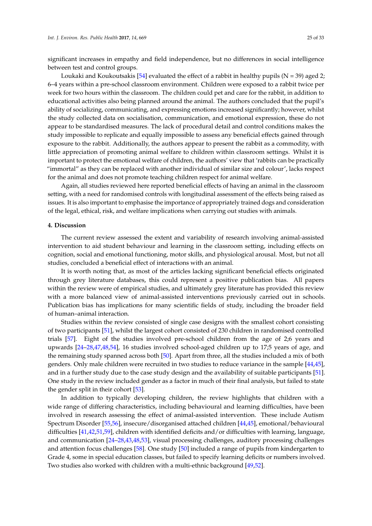significant increases in empathy and field independence, but no differences in social intelligence between test and control groups.

Loukaki and Koukoutsakis [\[54\]](#page-31-36) evaluated the effect of a rabbit in healthy pupils ( $N = 39$ ) aged 2; 6–4 years within a pre-school classroom environment. Children were exposed to a rabbit twice per week for two hours within the classroom. The children could pet and care for the rabbit, in addition to educational activities also being planned around the animal. The authors concluded that the pupil's ability of socializing, communicating, and expressing emotions increased significantly; however, whilst the study collected data on socialisation, communication, and emotional expression, these do not appear to be standardised measures. The lack of procedural detail and control conditions makes the study impossible to replicate and equally impossible to assess any beneficial effects gained through exposure to the rabbit. Additionally, the authors appear to present the rabbit as a commodity, with little appreciation of promoting animal welfare to children within classroom settings. Whilst it is important to protect the emotional welfare of children, the authors' view that 'rabbits can be practically "immortal" as they can be replaced with another individual of similar size and colour', lacks respect for the animal and does not promote teaching children respect for animal welfare.

Again, all studies reviewed here reported beneficial effects of having an animal in the classroom setting, with a need for randomised controls with longitudinal assessment of the effects being raised as issues. It is also important to emphasise the importance of appropriately trained dogs and consideration of the legal, ethical, risk, and welfare implications when carrying out studies with animals.

#### **4. Discussion**

The current review assessed the extent and variability of research involving animal-assisted intervention to aid student behaviour and learning in the classroom setting, including effects on cognition, social and emotional functioning, motor skills, and physiological arousal. Most, but not all studies, concluded a beneficial effect of interactions with an animal.

It is worth noting that, as most of the articles lacking significant beneficial effects originated through grey literature databases, this could represent a positive publication bias. All papers within the review were of empirical studies, and ultimately grey literature has provided this review with a more balanced view of animal-assisted interventions previously carried out in schools. Publication bias has implications for many scientific fields of study, including the broader field of human–animal interaction.

Studies within the review consisted of single case designs with the smallest cohort consisting of two participants [\[51\]](#page-31-26), whilst the largest cohort consisted of 230 children in randomised controlled trials [\[57\]](#page-31-31). Eight of the studies involved pre-school children from the age of 2;6 years and upwards [\[24–](#page-30-19)[28,](#page-30-4)[47,](#page-31-28)[48,](#page-31-17)[54\]](#page-31-36), 16 studies involved school-aged children up to 17;5 years of age, and the remaining study spanned across both [\[50\]](#page-31-22). Apart from three, all the studies included a mix of both genders. Only male children were recruited in two studies to reduce variance in the sample [\[44,](#page-31-13)[45\]](#page-31-33), and in a further study due to the case study design and the availability of suitable participants [\[51\]](#page-31-26). One study in the review included gender as a factor in much of their final analysis, but failed to state the gender split in their cohort [\[53\]](#page-31-21).

In addition to typically developing children, the review highlights that children with a wide range of differing characteristics, including behavioural and learning difficulties, have been involved in research assessing the effect of animal-assisted intervention. These include Autism Spectrum Disorder [\[55](#page-31-29)[,56\]](#page-31-30), insecure/disorganised attached children [\[44,](#page-31-13)[45\]](#page-31-33), emotional/behavioural difficulties [\[41](#page-31-25)[,42](#page-31-20)[,51](#page-31-26)[,59\]](#page-31-32), children with identified deficits and/or difficulties with learning, language, and communication [\[24](#page-30-19)[–28](#page-30-4)[,43](#page-31-12)[,48](#page-31-17)[,53\]](#page-31-21), visual processing challenges, auditory processing challenges and attention focus challenges [\[58\]](#page-31-23). One study [\[50\]](#page-31-22) included a range of pupils from kindergarten to Grade 4, some in special education classes, but failed to specify learning deficits or numbers involved. Two studies also worked with children with a multi-ethnic background [\[49,](#page-31-18)[52\]](#page-31-35).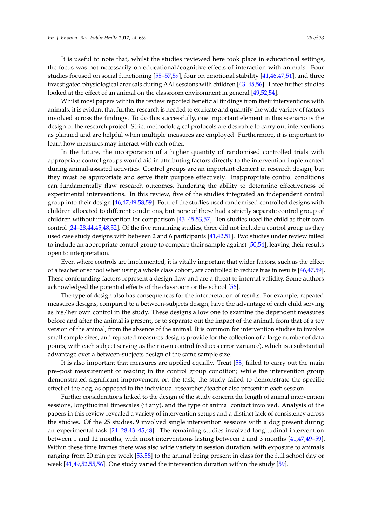It is useful to note that, whilst the studies reviewed here took place in educational settings, the focus was not necessarily on educational/cognitive effects of interaction with animals. Four studies focused on social functioning [\[55–](#page-31-29)[57](#page-31-31)[,59\]](#page-31-32), four on emotional stability [\[41,](#page-31-25)[46,](#page-31-27)[47,](#page-31-28)[51\]](#page-31-26), and three investigated physiological arousals during AAI sessions with children [\[43–](#page-31-12)[45](#page-31-33)[,56\]](#page-31-30). Three further studies looked at the effect of an animal on the classroom environment in general [\[49](#page-31-18)[,52](#page-31-35)[,54\]](#page-31-36).

Whilst most papers within the review reported beneficial findings from their interventions with animals, it is evident that further research is needed to extricate and quantify the wide variety of factors involved across the findings. To do this successfully, one important element in this scenario is the design of the research project. Strict methodological protocols are desirable to carry out interventions as planned and are helpful when multiple measures are employed. Furthermore, it is important to learn how measures may interact with each other.

In the future, the incorporation of a higher quantity of randomised controlled trials with appropriate control groups would aid in attributing factors directly to the intervention implemented during animal-assisted activities. Control groups are an important element in research design, but they must be appropriate and serve their purpose effectively. Inappropriate control conditions can fundamentally flaw research outcomes, hindering the ability to determine effectiveness of experimental interventions. In this review, five of the studies integrated an independent control group into their design [\[46](#page-31-27)[,47](#page-31-28)[,49](#page-31-18)[,58](#page-31-23)[,59\]](#page-31-32). Four of the studies used randomised controlled designs with children allocated to different conditions, but none of these had a strictly separate control group of children without intervention for comparison [\[43–](#page-31-12)[45,](#page-31-33)[53](#page-31-21)[,57\]](#page-31-31). Ten studies used the child as their own control [\[24–](#page-30-19)[28](#page-30-4)[,44](#page-31-13)[,45](#page-31-33)[,48,](#page-31-17)[52\]](#page-31-35). Of the five remaining studies, three did not include a control group as they used case study designs with between 2 and 6 participants [\[41](#page-31-25)[,42](#page-31-20)[,51\]](#page-31-26). Two studies under review failed to include an appropriate control group to compare their sample against [\[50,](#page-31-22)[54\]](#page-31-36), leaving their results open to interpretation.

Even where controls are implemented, it is vitally important that wider factors, such as the effect of a teacher or school when using a whole class cohort, are controlled to reduce bias in results [\[46](#page-31-27)[,47](#page-31-28)[,59\]](#page-31-32). These confounding factors represent a design flaw and are a threat to internal validity. Some authors acknowledged the potential effects of the classroom or the school [\[56\]](#page-31-30).

The type of design also has consequences for the interpretation of results. For example, repeated measures designs, compared to a between-subjects design, have the advantage of each child serving as his/her own control in the study. These designs allow one to examine the dependent measures before and after the animal is present, or to separate out the impact of the animal, from that of a toy version of the animal, from the absence of the animal. It is common for intervention studies to involve small sample sizes, and repeated measures designs provide for the collection of a large number of data points, with each subject serving as their own control (reduces error variance), which is a substantial advantage over a between-subjects design of the same sample size.

It is also important that measures are applied equally. Treat [\[58\]](#page-31-23) failed to carry out the main pre–post measurement of reading in the control group condition; while the intervention group demonstrated significant improvement on the task, the study failed to demonstrate the specific effect of the dog, as opposed to the individual researcher/teacher also present in each session.

Further considerations linked to the design of the study concern the length of animal intervention sessions, longitudinal timescales (if any), and the type of animal contact involved. Analysis of the papers in this review revealed a variety of intervention setups and a distinct lack of consistency across the studies. Of the 25 studies, 9 involved single intervention sessions with a dog present during an experimental task [\[24–](#page-30-19)[28,](#page-30-4)[43](#page-31-12)[–45](#page-31-33)[,48\]](#page-31-17). The remaining studies involved longitudinal intervention between 1 and 12 months, with most interventions lasting between 2 and 3 months [\[41,](#page-31-25)[47,](#page-31-28)[49–](#page-31-18)[59\]](#page-31-32). Within these time frames there was also wide variety in session duration, with exposure to animals ranging from 20 min per week [\[53](#page-31-21)[,58\]](#page-31-23) to the animal being present in class for the full school day or week [\[41](#page-31-25)[,49,](#page-31-18)[52,](#page-31-35)[55,](#page-31-29)[56\]](#page-31-30). One study varied the intervention duration within the study [\[59\]](#page-31-32).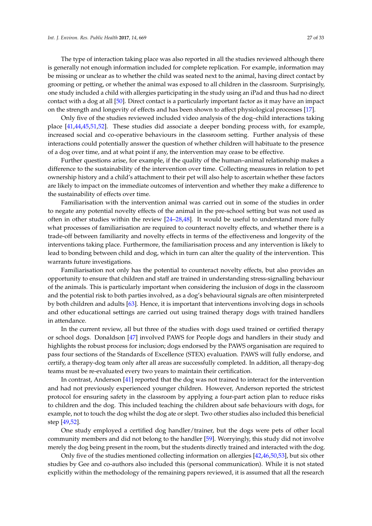The type of interaction taking place was also reported in all the studies reviewed although there is generally not enough information included for complete replication. For example, information may be missing or unclear as to whether the child was seated next to the animal, having direct contact by grooming or petting, or whether the animal was exposed to all children in the classroom. Surprisingly, one study included a child with allergies participating in the study using an iPad and thus had no direct contact with a dog at all [\[50\]](#page-31-22). Direct contact is a particularly important factor as it may have an impact on the strength and longevity of effects and has been shown to affect physiological processes [\[17\]](#page-30-0).

Only five of the studies reviewed included video analysis of the dog–child interactions taking place [\[41,](#page-31-25)[44,](#page-31-13)[45,](#page-31-33)[51,](#page-31-26)[52\]](#page-31-35). These studies did associate a deeper bonding process with, for example, increased social and co-operative behaviours in the classroom setting. Further analysis of these interactions could potentially answer the question of whether children will habituate to the presence of a dog over time, and at what point if any, the intervention may cease to be effective.

Further questions arise, for example, if the quality of the human–animal relationship makes a difference to the sustainability of the intervention over time. Collecting measures in relation to pet ownership history and a child's attachment to their pet will also help to ascertain whether these factors are likely to impact on the immediate outcomes of intervention and whether they make a difference to the sustainability of effects over time.

Familiarisation with the intervention animal was carried out in some of the studies in order to negate any potential novelty effects of the animal in the pre-school setting but was not used as often in other studies within the review [\[24](#page-30-19)[–28,](#page-30-4)[48\]](#page-31-17). It would be useful to understand more fully what processes of familiarisation are required to counteract novelty effects, and whether there is a trade-off between familiarity and novelty effects in terms of the effectiveness and longevity of the interventions taking place. Furthermore, the familiarisation process and any intervention is likely to lead to bonding between child and dog, which in turn can alter the quality of the intervention. This warrants future investigations.

Familiarisation not only has the potential to counteract novelty effects, but also provides an opportunity to ensure that children and staff are trained in understanding stress-signalling behaviour of the animals. This is particularly important when considering the inclusion of dogs in the classroom and the potential risk to both parties involved, as a dog's behavioural signals are often misinterpreted by both children and adults [\[63\]](#page-32-1). Hence, it is important that interventions involving dogs in schools and other educational settings are carried out using trained therapy dogs with trained handlers in attendance.

In the current review, all but three of the studies with dogs used trained or certified therapy or school dogs. Donaldson [\[47\]](#page-31-28) involved PAWS for People dogs and handlers in their study and highlights the robust process for inclusion; dogs endorsed by the PAWS organisation are required to pass four sections of the Standards of Excellence (STEX) evaluation. PAWS will fully endorse, and certify, a therapy-dog team only after all areas are successfully completed. In addition, all therapy-dog teams must be re-evaluated every two years to maintain their certification.

In contrast, Anderson [\[41\]](#page-31-25) reported that the dog was not trained to interact for the intervention and had not previously experienced younger children. However, Anderson reported the strictest protocol for ensuring safety in the classroom by applying a four-part action plan to reduce risks to children and the dog. This included teaching the children about safe behaviours with dogs, for example, not to touch the dog whilst the dog ate or slept. Two other studies also included this beneficial step [\[49,](#page-31-18)[52\]](#page-31-35).

One study employed a certified dog handler/trainer, but the dogs were pets of other local community members and did not belong to the handler [\[59\]](#page-31-32). Worryingly, this study did not involve merely the dog being present in the room, but the students directly trained and interacted with the dog.

Only five of the studies mentioned collecting information on allergies [\[42,](#page-31-20)[46,](#page-31-27)[50,](#page-31-22)[53\]](#page-31-21), but six other studies by Gee and co-authors also included this (personal communication). While it is not stated explicitly within the methodology of the remaining papers reviewed, it is assumed that all the research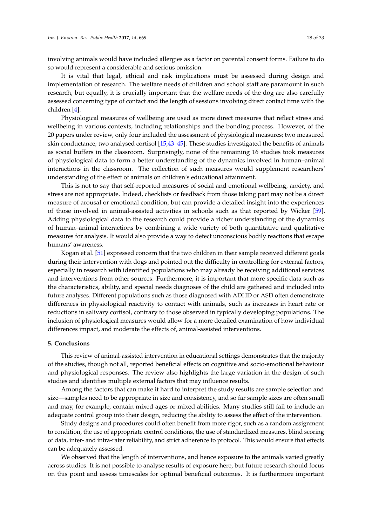involving animals would have included allergies as a factor on parental consent forms. Failure to do so would represent a considerable and serious omission.

It is vital that legal, ethical and risk implications must be assessed during design and implementation of research. The welfare needs of children and school staff are paramount in such research, but equally, it is crucially important that the welfare needs of the dog are also carefully assessed concerning type of contact and the length of sessions involving direct contact time with the children [\[4\]](#page-29-1).

Physiological measures of wellbeing are used as more direct measures that reflect stress and wellbeing in various contexts, including relationships and the bonding process. However, of the 20 papers under review, only four included the assessment of physiological measures; two measured skin conductance; two analysed cortisol [\[15,](#page-29-12)[43–](#page-31-12)[45\]](#page-31-33). These studies investigated the benefits of animals as social buffers in the classroom. Surprisingly, none of the remaining 16 studies took measures of physiological data to form a better understanding of the dynamics involved in human–animal interactions in the classroom. The collection of such measures would supplement researchers' understanding of the effect of animals on children's educational attainment.

This is not to say that self-reported measures of social and emotional wellbeing, anxiety, and stress are not appropriate. Indeed, checklists or feedback from those taking part may not be a direct measure of arousal or emotional condition, but can provide a detailed insight into the experiences of those involved in animal-assisted activities in schools such as that reported by Wicker [\[59\]](#page-31-32). Adding physiological data to the research could provide a richer understanding of the dynamics of human–animal interactions by combining a wide variety of both quantitative and qualitative measures for analysis. It would also provide a way to detect unconscious bodily reactions that escape humans' awareness.

Kogan et al. [\[51\]](#page-31-26) expressed concern that the two children in their sample received different goals during their intervention with dogs and pointed out the difficulty in controlling for external factors, especially in research with identified populations who may already be receiving additional services and interventions from other sources. Furthermore, it is important that more specific data such as the characteristics, ability, and special needs diagnoses of the child are gathered and included into future analyses. Different populations such as those diagnosed with ADHD or ASD often demonstrate differences in physiological reactivity to contact with animals, such as increases in heart rate or reductions in salivary cortisol, contrary to those observed in typically developing populations. The inclusion of physiological measures would allow for a more detailed examination of how individual differences impact, and moderate the effects of, animal-assisted interventions.

#### **5. Conclusions**

This review of animal-assisted intervention in educational settings demonstrates that the majority of the studies, though not all, reported beneficial effects on cognitive and socio-emotional behaviour and physiological responses. The review also highlights the large variation in the design of such studies and identifies multiple external factors that may influence results.

Among the factors that can make it hard to interpret the study results are sample selection and size—samples need to be appropriate in size and consistency, and so far sample sizes are often small and may, for example, contain mixed ages or mixed abilities. Many studies still fail to include an adequate control group into their design, reducing the ability to assess the effect of the intervention.

Study designs and procedures could often benefit from more rigor, such as a random assignment to condition, the use of appropriate control conditions, the use of standardized measures, blind scoring of data, inter- and intra-rater reliability, and strict adherence to protocol. This would ensure that effects can be adequately assessed.

We observed that the length of interventions, and hence exposure to the animals varied greatly across studies. It is not possible to analyse results of exposure here, but future research should focus on this point and assess timescales for optimal beneficial outcomes. It is furthermore important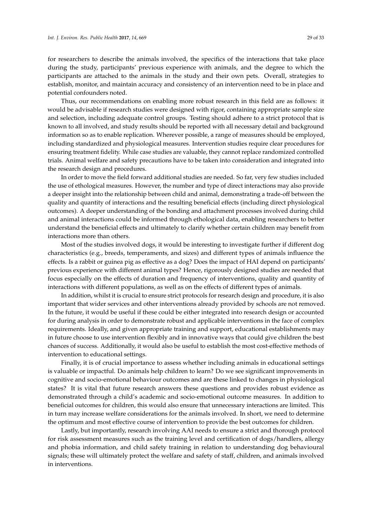for researchers to describe the animals involved, the specifics of the interactions that take place during the study, participants' previous experience with animals, and the degree to which the participants are attached to the animals in the study and their own pets. Overall, strategies to establish, monitor, and maintain accuracy and consistency of an intervention need to be in place and potential confounders noted.

Thus, our recommendations on enabling more robust research in this field are as follows: it would be advisable if research studies were designed with rigor, containing appropriate sample size and selection, including adequate control groups. Testing should adhere to a strict protocol that is known to all involved, and study results should be reported with all necessary detail and background information so as to enable replication. Wherever possible, a range of measures should be employed, including standardized and physiological measures. Intervention studies require clear procedures for ensuring treatment fidelity. While case studies are valuable, they cannot replace randomized controlled trials. Animal welfare and safety precautions have to be taken into consideration and integrated into the research design and procedures.

In order to move the field forward additional studies are needed. So far, very few studies included the use of ethological measures. However, the number and type of direct interactions may also provide a deeper insight into the relationship between child and animal, demonstrating a trade-off between the quality and quantity of interactions and the resulting beneficial effects (including direct physiological outcomes). A deeper understanding of the bonding and attachment processes involved during child and animal interactions could be informed through ethological data, enabling researchers to better understand the beneficial effects and ultimately to clarify whether certain children may benefit from interactions more than others.

Most of the studies involved dogs, it would be interesting to investigate further if different dog characteristics (e.g., breeds, temperaments, and sizes) and different types of animals influence the effects. Is a rabbit or guinea pig as effective as a dog? Does the impact of HAI depend on participants' previous experience with different animal types? Hence, rigorously designed studies are needed that focus especially on the effects of duration and frequency of interventions, quality and quantity of interactions with different populations, as well as on the effects of different types of animals.

In addition, whilst it is crucial to ensure strict protocols for research design and procedure, it is also important that wider services and other interventions already provided by schools are not removed. In the future, it would be useful if these could be either integrated into research design or accounted for during analysis in order to demonstrate robust and applicable interventions in the face of complex requirements. Ideally, and given appropriate training and support, educational establishments may in future choose to use intervention flexibly and in innovative ways that could give children the best chances of success. Additionally, it would also be useful to establish the most cost-effective methods of intervention to educational settings.

Finally, it is of crucial importance to assess whether including animals in educational settings is valuable or impactful. Do animals help children to learn? Do we see significant improvements in cognitive and socio-emotional behaviour outcomes and are these linked to changes in physiological states? It is vital that future research answers these questions and provides robust evidence as demonstrated through a child's academic and socio-emotional outcome measures. In addition to beneficial outcomes for children, this would also ensure that unnecessary interactions are limited. This in turn may increase welfare considerations for the animals involved. In short, we need to determine the optimum and most effective course of intervention to provide the best outcomes for children.

Lastly, but importantly, research involving AAI needs to ensure a strict and thorough protocol for risk assessment measures such as the training level and certification of dogs/handlers, allergy and phobia information, and child safety training in relation to understanding dog behavioural signals; these will ultimately protect the welfare and safety of staff, children, and animals involved in interventions.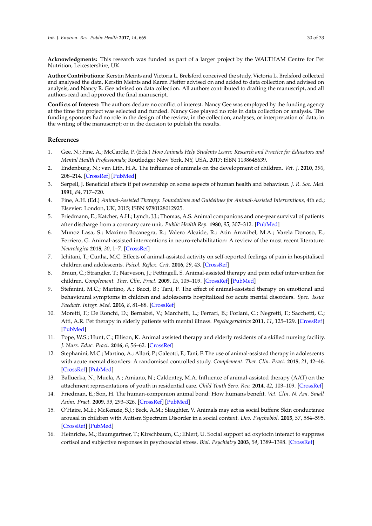**Acknowledgments:** This research was funded as part of a larger project by the WALTHAM Centre for Pet Nutrition, Leicestershire, UK.

**Author Contributions:** Kerstin Meints and Victoria L. Brelsford conceived the study, Victoria L. Brelsford collected and analysed the data, Kerstin Meints and Karen Pfeffer advised on and added to data collection and advised on analysis, and Nancy R. Gee advised on data collection. All authors contributed to drafting the manuscript, and all authors read and approved the final manuscript.

**Conflicts of Interest:** The authors declare no conflict of interest. Nancy Gee was employed by the funding agency at the time the project was selected and funded. Nancy Gee played no role in data collection or analysis. The funding sponsors had no role in the design of the review; in the collection, analyses, or interpretation of data; in the writing of the manuscript; or in the decision to publish the results.

#### **References**

- <span id="page-29-0"></span>1. Gee, N.; Fine, A.; McCardle, P. (Eds.) *How Animals Help Students Learn: Research and Practice for Educators and Mental Health Professionals*; Routledge: New York, NY, USA, 2017; ISBN 1138648639.
- <span id="page-29-10"></span>2. Endenburg, N.; van Lith, H.A. The influence of animals on the development of children. *Vet. J.* **2010**, *190*, 208–214. [\[CrossRef\]](http://dx.doi.org/10.1016/j.tvjl.2010.11.020) [\[PubMed\]](http://www.ncbi.nlm.nih.gov/pubmed/21195645)
- 3. Serpell, J. Beneficial effects if pet ownership on some aspects of human health and behaviour. *J. R. Soc. Med.* **1991**, *84*, 717–720.
- <span id="page-29-1"></span>4. Fine, A.H. (Ed.) *Animal-Assisted Therapy: Foundations and Guidelines for Animal-Assisted Interventions*, 4th ed.; Elsevier: London, UK, 2015; ISBN 9780128012925.
- <span id="page-29-2"></span>5. Friedmann, E.; Katcher, A.H.; Lynch, J.J.; Thomas, A.S. Animal companions and one-year survival of patients after discharge from a coronary care unit. *Public Health Rep.* **1980**, *95*, 307–312. [\[PubMed\]](http://www.ncbi.nlm.nih.gov/pubmed/6999524)
- <span id="page-29-3"></span>6. Munoz Lasa, S.; Maximo Bocanegra, R.; Valero Alcaide, R.; Atin Arratibel, M.A.; Varela Donoso, E.; Ferriero, G. Animal-assisted interventions in neuro-rehabilitation: A review of the most recent literature. *Neurologica* **2015**, *30*, 1–7. [\[CrossRef\]](http://dx.doi.org/10.1016/j.nrleng.2013.01.010)
- <span id="page-29-4"></span>7. Ichitani, T.; Cunha, M.C. Effects of animal-assisted activity on self-reported feelings of pain in hospitalised children and adolescents. *Psicol. Reflex. Crít.* **2016**, *29*, 43. [\[CrossRef\]](http://dx.doi.org/10.1186/s41155-016-0049-1)
- 8. Braun, C.; Strangler, T.; Narveson, J.; Pettingell, S. Animal-assisted therapy and pain relief intervention for children. *Complement. Ther. Clin. Pract.* **2009**, *15*, 105–109. [\[CrossRef\]](http://dx.doi.org/10.1016/j.ctcp.2009.02.008) [\[PubMed\]](http://www.ncbi.nlm.nih.gov/pubmed/19341990)
- <span id="page-29-5"></span>9. Stefanini, M.C.; Martino, A.; Bacci, B.; Tani, F. The effect of animal-assisted therapy on emotional and behavioural symptoms in children and adolescents hospitalized for acute mental disorders. *Spec. Issue Paediatr. Integr. Med.* **2016**, *8*, 81–88. [\[CrossRef\]](http://dx.doi.org/10.1016/j.eujim.2016.03.001)
- <span id="page-29-6"></span>10. Moretti, F.; De Ronchi, D.; Bernabei, V.; Marchetti, L.; Ferrari, B.; Forlani, C.; Negretti, F.; Sacchetti, C.; Atti, A.R. Pet therapy in elderly patients with mental illness. *Psychogeriatrics* **2011**, *11*, 125–129. [\[CrossRef\]](http://dx.doi.org/10.1111/j.1479-8301.2010.00329.x) [\[PubMed\]](http://www.ncbi.nlm.nih.gov/pubmed/21707862)
- <span id="page-29-7"></span>11. Pope, W.S.; Hunt, C.; Ellison, K. Animal assisted therapy and elderly residents of a skilled nursing facility. *J. Nurs. Educ. Pract.* **2016**, *6*, 56–62. [\[CrossRef\]](http://dx.doi.org/10.5430/jnep.v6n9p56)
- <span id="page-29-8"></span>12. Stephanini, M.C.; Martino, A.; Allori, P.; Galeotti, F.; Tani, F. The use of animal-assisted therapy in adolescents with acute mental disorders: A randomised controlled study. *Complement. Ther. Clin. Pract.* **2015**, *21*, 42–46. [\[CrossRef\]](http://dx.doi.org/10.1016/j.ctcp.2015.01.001) [\[PubMed\]](http://www.ncbi.nlm.nih.gov/pubmed/25701449)
- <span id="page-29-9"></span>13. Balluerka, N.; Muela, A.; Amiano, N.; Caldentey, M.A. Influence of animal-assisted therapy (AAT) on the attachment representations of youth in residential care. *Child Youth Serv. Rev.* **2014**, *42*, 103–109. [\[CrossRef\]](http://dx.doi.org/10.1016/j.childyouth.2014.04.007)
- <span id="page-29-11"></span>14. Friedman, E.; Son, H. The human-companion animal bond: How humans benefit. *Vet. Clin. N. Am. Small Anim. Pract.* **2009**, *39*, 293–326. [\[CrossRef\]](http://dx.doi.org/10.1016/j.cvsm.2008.10.015) [\[PubMed\]](http://www.ncbi.nlm.nih.gov/pubmed/19185195)
- <span id="page-29-12"></span>15. O'Haire, M.E.; McKenzie, S.J.; Beck, A.M.; Slaughter, V. Animals may act as social buffers: Skin conductance arousal in children with Autism Spectrum Disorder in a social context. *Dev. Psychobiol.* **2015**, *57*, 584–595. [\[CrossRef\]](http://dx.doi.org/10.1002/dev.21310) [\[PubMed\]](http://www.ncbi.nlm.nih.gov/pubmed/25913902)
- <span id="page-29-13"></span>16. Heinrichs, M.; Baumgartner, T.; Kirschbaum, C.; Ehlert, U. Social support ad oxytocin interact to suppress cortisol and subjective responses in psychosocial stress. *Biol. Psychiatry* **2003**, *54*, 1389–1398. [\[CrossRef\]](http://dx.doi.org/10.1016/S0006-3223(03)00465-7)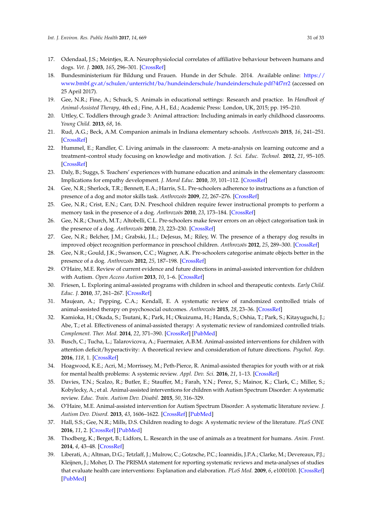- <span id="page-30-16"></span><span id="page-30-15"></span><span id="page-30-14"></span><span id="page-30-0"></span>17. Odendaal, J.S.; Meintjes, R.A. Neurophysiolocial correlates of affiliative behaviour between humans and dogs. *Vet. J.* **2003**, *165*, 296–301. [\[CrossRef\]](http://dx.doi.org/10.1016/S1090-0233(02)00237-X)
- <span id="page-30-17"></span><span id="page-30-1"></span>18. Bundesministerium für Bildung und Frauen. Hunde in der Schule. 2014. Available online: [https://](https://www.bmbf.gv.at/schulen/unterricht/ba/hundeinderschule/hundeinderschule.pdf?4f7rr2) [www.bmbf.gv.at/schulen/unterricht/ba/hundeinderschule/hundeinderschule.pdf?4f7rr2](https://www.bmbf.gv.at/schulen/unterricht/ba/hundeinderschule/hundeinderschule.pdf?4f7rr2) (accessed on 25 April 2017).
- <span id="page-30-18"></span><span id="page-30-2"></span>19. Gee, N.R.; Fine, A.; Schuck, S. Animals in educational settings: Research and practice. In *Handbook of Animal-Assisted Therapy*, 4th ed.; Fine, A.H., Ed.; Academic Press: London, UK, 2015; pp. 195–210.
- <span id="page-30-3"></span>20. Uttley, C. Toddlers through grade 3: Animal attraction: Including animals in early childhood classrooms. *Young Child.* **2013**, *68*, 16.
- 21. Rud, A.G.; Beck, A.M. Companion animals in Indiana elementary schools. *Anthrozoös* **2015**, *16*, 241–251. [\[CrossRef\]](http://dx.doi.org/10.2752/089279303786992134)
- 22. Hummel, E.; Randler, C. Living animals in the classroom: A meta-analysis on learning outcome and a treatment–control study focusing on knowledge and motivation. *J. Sci. Educ. Technol.* **2012**, *21*, 95–105. [\[CrossRef\]](http://dx.doi.org/10.1007/s10956-011-9285-4)
- 23. Daly, B.; Suggs, S. Teachers' experiences with humane education and animals in the elementary classroom: Implications for empathy development. *J. Moral Educ.* **2010**, *39*, 101–112. [\[CrossRef\]](http://dx.doi.org/10.1080/03057240903528733)
- <span id="page-30-19"></span>24. Gee, N.R.; Sherlock, T.R.; Bennett, E.A.; Harris, S.L. Pre-schoolers adherence to instructions as a function of presence of a dog and motor skills task. *Anthrozoös* **2009**, *22*, 267–276. [\[CrossRef\]](http://dx.doi.org/10.2752/175303709X457603)
- <span id="page-30-20"></span>25. Gee, N.R.; Crist, E.N.; Carr, D.N. Preschool children require fewer instructional prompts to perform a memory task in the presence of a dog. *Anthrozoös* **2010**, *23*, 173–184. [\[CrossRef\]](http://dx.doi.org/10.2752/175303710X12682332910051)
- <span id="page-30-21"></span>26. Gee, N.R.; Church, M.T.; Altobelli, C.L. Pre-schoolers make fewer errors on an object categorisation task in the presence of a dog. *Anthrozoös* **2010**, *23*, 223–230. [\[CrossRef\]](http://dx.doi.org/10.2752/175303710X12750451258896)
- <span id="page-30-22"></span>27. Gee, N.R.; Belcher, J.M.; Grabski, J.L.; DeJesus, M.; Riley, W. The presence of a therapy dog results in improved object recognition performance in preschool children. *Anthrozoös* **2012**, *25*, 289–300. [\[CrossRef\]](http://dx.doi.org/10.2752/175303712X13403555186172)
- <span id="page-30-4"></span>28. Gee, N.R.; Gould, J.K.; Swanson, C.C.; Wagner, A.K. Pre-schoolers categorise animate objects better in the presence of a dog. *Anthrozoös* **2012**, *25*, 187–198. [\[CrossRef\]](http://dx.doi.org/10.2752/175303712X13316289505387)
- <span id="page-30-5"></span>29. O'Haire, M.E. Review of current evidence and future directions in animal-assisted intervention for children with Autism. *Open Access Autism* **2013**, *10*, 1–6. [\[CrossRef\]](http://dx.doi.org/10.13172/2052-7810-1-1-445)
- <span id="page-30-6"></span>30. Friesen, L. Exploring animal-assisted programs with children in school and therapeutic contexts. *Early Child. Educ. J.* **2010**, *37*, 261–267. [\[CrossRef\]](http://dx.doi.org/10.1007/s10643-009-0349-5)
- 31. Maujean, A.; Pepping, C.A.; Kendall, E. A systematic review of randomized controlled trials of animal-assisted therapy on psychosocial outcomes. *Anthrozoös* **2015**, *28*, 23–36. [\[CrossRef\]](http://dx.doi.org/10.2752/089279315X14129350721812)
- <span id="page-30-11"></span>32. Kamioka, H.; Okada, S.; Tsutani, K.; Park, H.; Okuizuma, H.; Handa, S.; Oshia, T.; Park, S.; Kitayuguchi, J.; Abe, T.; et al. Effectiveness of animal-assisted therapy: A systematic review of randomized controlled trials. *Complement. Ther. Med.* **2014**, *22*, 371–390. [\[CrossRef\]](http://dx.doi.org/10.1016/j.ctim.2013.12.016) [\[PubMed\]](http://www.ncbi.nlm.nih.gov/pubmed/24731910)
- 33. Busch, C.; Tucha, L.; Talarovicova, A.; Fuermaier, A.B.M. Animal-assisted interventions for children with attention deficit/hyperactivity: A theoretical review and consideration of future directions. *Psychol. Rep.* **2016**, *118*, 1. [\[CrossRef\]](http://dx.doi.org/10.1177/0033294115626633)
- <span id="page-30-7"></span>34. Hoagwood, K.E.; Acri, M.; Morrissey, M.; Peth-Pierce, R. Animal-assisted therapies for youth with or at risk for mental health problems: A systemic review. *Appl. Dev. Sci.* **2016**, *21*, 1–13. [\[CrossRef\]](http://dx.doi.org/10.1080/10888691.2015.1134267)
- <span id="page-30-8"></span>35. Davies, T.N.; Scalzo, R.; Butler, E.; Stauffer, M.; Farah, Y.N.; Perez, S.; Mainor, K.; Clark, C.; Miller, S.; Kobylecky, A.; et al. Animal-assisted interventions for children with Autism Spectrum Disorder: A systematic review. *Educ. Train. Autism Dev. Disabil.* **2015**, *50*, 316–329.
- <span id="page-30-9"></span>36. O'Haire, M.E. Animal-assisted intervention for Autism Spectrum Disorder: A systematic literature review. *J. Autism Dev. Disord.* **2013**, *43*, 1606–1622. [\[CrossRef\]](http://dx.doi.org/10.1007/s10803-012-1707-5) [\[PubMed\]](http://www.ncbi.nlm.nih.gov/pubmed/23124442)
- <span id="page-30-10"></span>37. Hall, S.S.; Gee, N.R.; Mills, D.S. Children reading to dogs: A systematic review of the literature. *PLoS ONE* **2016**, *11*, 2. [\[CrossRef\]](http://dx.doi.org/10.1371/journal.pone.0149759) [\[PubMed\]](http://www.ncbi.nlm.nih.gov/pubmed/26901412)
- <span id="page-30-12"></span>38. Thodberg, K.; Berget, B.; Lidfors, L. Research in the use of animals as a treatment for humans. *Anim. Front.* **2014**, *4*, 43–48. [\[CrossRef\]](http://dx.doi.org/10.2527/af.2014-0021)
- <span id="page-30-13"></span>39. Liberati, A.; Altman, D.G.; Tetzlaff, J.; Mulrow, C.; Gotzsche, P.C.; Ioannidis, J.P.A.; Clarke, M.; Devereaux, P.J.; Kleijnen, J.; Moher, D. The PRISMA statement for reporting systematic reviews and meta-analyses of studies that evaluate health care interventions: Explanation and elaboration. *PLoS Med.* **2009**, *6*, e1000100. [\[CrossRef\]](http://dx.doi.org/10.1371/journal.pmed.1000100) [\[PubMed\]](http://www.ncbi.nlm.nih.gov/pubmed/19621070)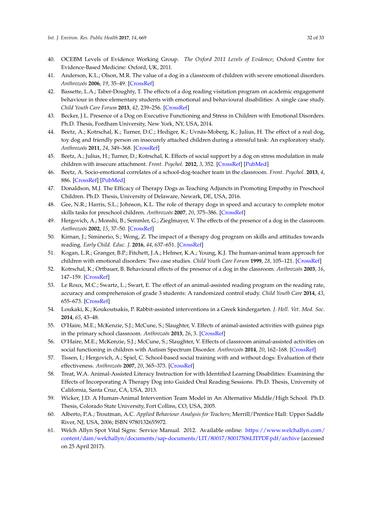- <span id="page-31-9"></span><span id="page-31-8"></span><span id="page-31-7"></span><span id="page-31-6"></span><span id="page-31-5"></span><span id="page-31-4"></span><span id="page-31-3"></span><span id="page-31-2"></span><span id="page-31-1"></span><span id="page-31-0"></span>40. OCEBM Levels of Evidence Working Group. *The Oxford 2011 Levels of Evidence*; Oxford Centre for Evidence-Based Medicine: Oxford, UK, 2011.
- <span id="page-31-25"></span><span id="page-31-10"></span>41. Anderson, K.L.; Olson, M.R. The value of a dog in a classroom of children with severe emotional disorders. *Anthrozoös* **2006**, *19*, 35–49. [\[CrossRef\]](http://dx.doi.org/10.2752/089279306785593919)
- <span id="page-31-20"></span><span id="page-31-11"></span>42. Bassette, L.A.; Taber-Doughty, T. The effects of a dog reading visitation program on academic engagement behaviour in three elementary students with emotional and behavioural disabilities: A single case study. *Child Youth Care Forum* **2013**, *42*, 239–256. [\[CrossRef\]](http://dx.doi.org/10.1007/s10566-013-9197-y)
- <span id="page-31-12"></span>43. Becker, J.L. Presence of a Dog on Executive Functioning and Stress in Children with Emotional Disorders. Ph.D. Thesis, Fordham University, New York, NY, USA, 2014.
- <span id="page-31-13"></span>44. Beetz, A.; Kotrschal, K.; Turner, D.C.; Hediger, K.; Uvnäs-Moberg, K.; Julius, H. The effect of a real dog, toy dog and friendly person on insecurely attached children during a stressful task: An exploratory study. *Anthrozoös* **2011**, *24*, 349–368. [\[CrossRef\]](http://dx.doi.org/10.2752/175303711X13159027359746)
- <span id="page-31-33"></span><span id="page-31-14"></span>45. Beetz, A.; Julius, H.; Turner, D.; Kotrschal, K. Effects of social support by a dog on stress modulation in male children with insecure attachment. *Front. Psychol.* **2012**, *3*, 352. [\[CrossRef\]](http://dx.doi.org/10.3389/fpsyg.2012.00352) [\[PubMed\]](http://www.ncbi.nlm.nih.gov/pubmed/23162482)
- <span id="page-31-27"></span><span id="page-31-15"></span>46. Beetz, A. Socio-emotional correlates of a school-dog-teacher team in the classroom. *Front. Psychol.* **2013**, *4*, 886. [\[CrossRef\]](http://dx.doi.org/10.3389/fpsyg.2013.00886) [\[PubMed\]](http://www.ncbi.nlm.nih.gov/pubmed/24348440)
- <span id="page-31-28"></span><span id="page-31-16"></span>47. Donaldson, M.J. The Efficacy of Therapy Dogs as Teaching Adjuncts in Promoting Empathy in Preschool Children. Ph.D. Thesis, University of Delaware, Newark, DE, USA, 2016.
- <span id="page-31-17"></span>48. Gee, N.R.; Harris, S.L.; Johnson, K.L. The role of therapy dogs in speed and accuracy to complete motor skills tasks for preschool children. *Anthrozoös* **2007**, *20*, 375–386. [\[CrossRef\]](http://dx.doi.org/10.2752/089279307X245509)
- <span id="page-31-18"></span>49. Hergovich, A.; Monshi, B.; Semmler, G.; Zieglmayer, V. The effects of the presence of a dog in the classroom. *Anthrozoös* **2002**, *15*, 37–50. [\[CrossRef\]](http://dx.doi.org/10.2752/089279302786992775)
- <span id="page-31-22"></span><span id="page-31-19"></span>50. Kirnan, J.; Siminerio, S.; Wong, Z. The impact of a therapy dog program on skills and attitudes towards reading. *Early Child. Educ. J.* **2016**, *44*, 637–651. [\[CrossRef\]](http://dx.doi.org/10.1007/s10643-015-0747-9)
- <span id="page-31-26"></span>51. Kogan, L.R.; Granger, B.P.; Fitchett, J.A.; Helmer, K.A.; Young, K.J. The human-animal team approach for children with emotional disorders: Two case studies. *Child Youth Care Forum* **1999**, *28*, 105–121. [\[CrossRef\]](http://dx.doi.org/10.1023/A:1021941205934)
- <span id="page-31-35"></span>52. Kotrschal, K.; Ortbauer, B. Behavioural effects of the presence of a dog in the classroom. *Anthrozoös* **2003**, *16*, 147–159. [\[CrossRef\]](http://dx.doi.org/10.2752/089279303786992170)
- <span id="page-31-21"></span>53. Le Roux, M.C.; Swartz, L.; Swart, E. The effect of an animal-assisted reading program on the reading rate, accuracy and comprehension of grade 3 students: A randomized control study. *Child Youth Care* **2014**, *43*, 655–673. [\[CrossRef\]](http://dx.doi.org/10.1007/s10566-014-9262-1)
- <span id="page-31-36"></span>54. Loukaki, K.; Koukoutsakis, P. Rabbit-assisted interventions in a Greek kindergarten. *J. Hell. Vet. Med. Soc.* **2014**, *65*, 43–48.
- <span id="page-31-29"></span>55. O'Haire, M.E.; McKenzie, S.J.; McCune, S.; Slaughter, V. Effects of animal-assisted activities with guinea pigs in the primary school classroom. *Anthrozoös* **2013**, *26*, 3. [\[CrossRef\]](http://dx.doi.org/10.2752/175303713X13697429463835.)
- <span id="page-31-30"></span>56. O'Haire, M.E.; McKenzie, S.J.; McCune, S.; Slaughter, V. Effects of classroom animal-assisted activities on social functioning in children with Autism Spectrum Disorder. *Anthrozoös* **2014**, *20*, 162–168. [\[CrossRef\]](http://dx.doi.org/10.1089/acm.2013.0165.)
- <span id="page-31-31"></span>57. Tissen, I.; Hergovich, A.; Spiel, C. School-based social training with and without dogs: Evaluation of their effectiveness. *Anthrozoös* **2007**, *20*, 365–373. [\[CrossRef\]](http://dx.doi.org/10.2752/089279307X245491)
- <span id="page-31-23"></span>58. Treat, W.A. Animal-Assisted Literacy Instruction for with Identified Learning Disabilities: Examining the Effects of Incorporating A Therapy Dog into Guided Oral Reading Sessions. Ph.D. Thesis, University of California, Santa Cruz, CA, USA, 2013.
- <span id="page-31-32"></span>59. Wicker, J.D. A Human-Animal Intervention Team Model in An Alternative Middle/High School. Ph.D. Thesis, Colorado State University, Fort Collins, CO, USA, 2005.
- <span id="page-31-24"></span>60. Alberto, P.A.; Troutman, A.C. *Applied Behaviour Analysis for Teachers*; Merrill/Prentice Hall: Upper Saddle River, NJ, USA, 2006; ISBN 9780132655972.
- <span id="page-31-34"></span>61. Welch Allyn Spot Vital Signs: Service Manual. 2012. Available online: [https://www.welchallyn.com/](https://www.welchallyn.com/content/dam/welchallyn/documents/sap-documents/LIT/80017/80017506LITPDF.pdf/archive) [content/dam/welchallyn/documents/sap-documents/LIT/80017/80017506LITPDF.pdf/archive](https://www.welchallyn.com/content/dam/welchallyn/documents/sap-documents/LIT/80017/80017506LITPDF.pdf/archive) (accessed on 25 April 2017).